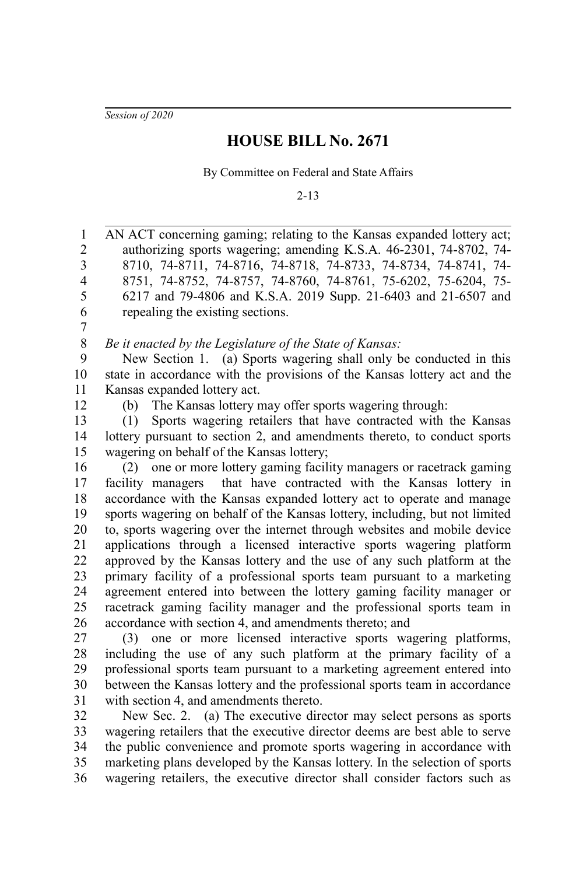*Session of 2020*

## **HOUSE BILL No. 2671**

By Committee on Federal and State Affairs

2-13

AN ACT concerning gaming; relating to the Kansas expanded lottery act; authorizing sports wagering; amending K.S.A. 46-2301, 74-8702, 74- 8710, 74-8711, 74-8716, 74-8718, 74-8733, 74-8734, 74-8741, 74- 8751, 74-8752, 74-8757, 74-8760, 74-8761, 75-6202, 75-6204, 75- 6217 and 79-4806 and K.S.A. 2019 Supp. 21-6403 and 21-6507 and repealing the existing sections. 1 2 3 4 5 6

7

*Be it enacted by the Legislature of the State of Kansas:* 8

New Section 1. (a) Sports wagering shall only be conducted in this state in accordance with the provisions of the Kansas lottery act and the Kansas expanded lottery act. 9 10 11

12

(b) The Kansas lottery may offer sports wagering through:

(1) Sports wagering retailers that have contracted with the Kansas lottery pursuant to section 2, and amendments thereto, to conduct sports wagering on behalf of the Kansas lottery; 13 14 15

(2) one or more lottery gaming facility managers or racetrack gaming facility managers that have contracted with the Kansas lottery in accordance with the Kansas expanded lottery act to operate and manage sports wagering on behalf of the Kansas lottery, including, but not limited to, sports wagering over the internet through websites and mobile device applications through a licensed interactive sports wagering platform approved by the Kansas lottery and the use of any such platform at the primary facility of a professional sports team pursuant to a marketing agreement entered into between the lottery gaming facility manager or racetrack gaming facility manager and the professional sports team in accordance with section 4, and amendments thereto; and 16 17 18 19 20 21 22 23 24 25 26

(3) one or more licensed interactive sports wagering platforms, including the use of any such platform at the primary facility of a professional sports team pursuant to a marketing agreement entered into between the Kansas lottery and the professional sports team in accordance with section 4, and amendments thereto. 27 28 29 30 31

New Sec. 2. (a) The executive director may select persons as sports wagering retailers that the executive director deems are best able to serve the public convenience and promote sports wagering in accordance with marketing plans developed by the Kansas lottery. In the selection of sports wagering retailers, the executive director shall consider factors such as 32 33 34 35 36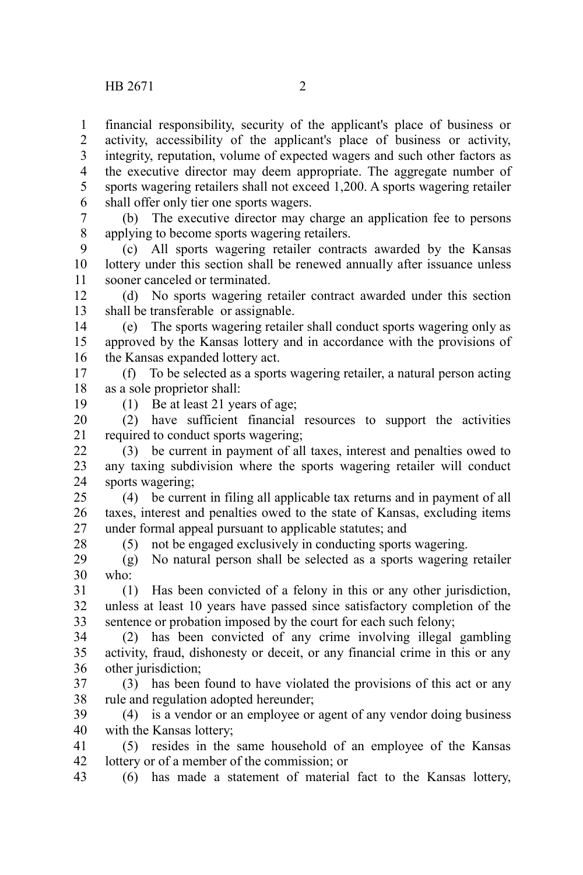financial responsibility, security of the applicant's place of business or activity, accessibility of the applicant's place of business or activity, integrity, reputation, volume of expected wagers and such other factors as the executive director may deem appropriate. The aggregate number of sports wagering retailers shall not exceed 1,200. A sports wagering retailer shall offer only tier one sports wagers. 1 2 3 4 5 6

(b) The executive director may charge an application fee to persons applying to become sports wagering retailers. 7 8

(c) All sports wagering retailer contracts awarded by the Kansas lottery under this section shall be renewed annually after issuance unless sooner canceled or terminated. 9 10 11

(d) No sports wagering retailer contract awarded under this section shall be transferable or assignable. 12 13

(e) The sports wagering retailer shall conduct sports wagering only as approved by the Kansas lottery and in accordance with the provisions of the Kansas expanded lottery act. 14 15 16

(f) To be selected as a sports wagering retailer, a natural person acting as a sole proprietor shall: 17 18

19

28

(1) Be at least 21 years of age;

(2) have sufficient financial resources to support the activities required to conduct sports wagering; 20 21

(3) be current in payment of all taxes, interest and penalties owed to any taxing subdivision where the sports wagering retailer will conduct sports wagering; 22 23 24

(4) be current in filing all applicable tax returns and in payment of all taxes, interest and penalties owed to the state of Kansas, excluding items under formal appeal pursuant to applicable statutes; and 25 26 27

(5) not be engaged exclusively in conducting sports wagering.

(g) No natural person shall be selected as a sports wagering retailer who: 29 30

(1) Has been convicted of a felony in this or any other jurisdiction, unless at least 10 years have passed since satisfactory completion of the sentence or probation imposed by the court for each such felony; 31 32 33

(2) has been convicted of any crime involving illegal gambling activity, fraud, dishonesty or deceit, or any financial crime in this or any other jurisdiction: 34 35 36

(3) has been found to have violated the provisions of this act or any rule and regulation adopted hereunder; 37 38

(4) is a vendor or an employee or agent of any vendor doing business with the Kansas lottery; 39 40

(5) resides in the same household of an employee of the Kansas lottery or of a member of the commission; or 41 42

(6) has made a statement of material fact to the Kansas lottery, 43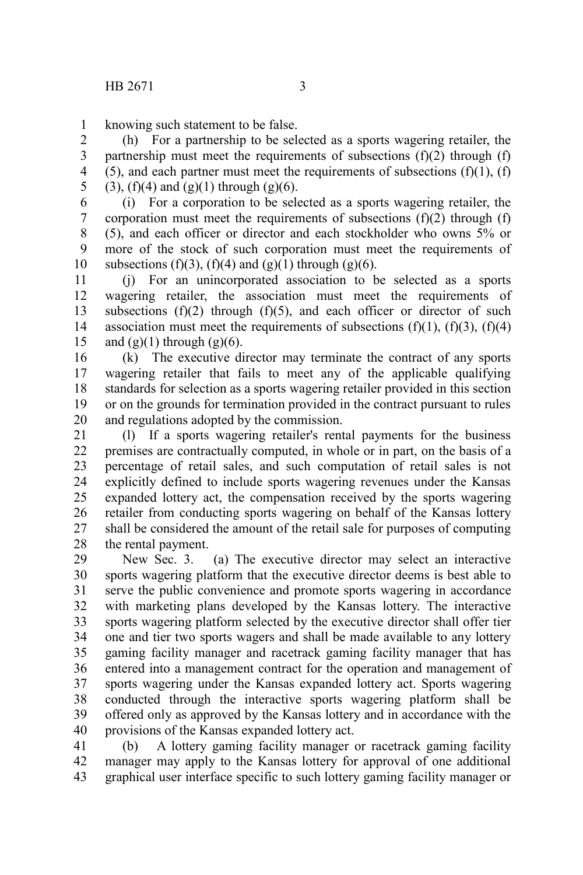knowing such statement to be false. 1

(h) For a partnership to be selected as a sports wagering retailer, the partnership must meet the requirements of subsections  $(f)(2)$  through  $(f)$ (5), and each partner must meet the requirements of subsections  $(f)(1)$ ,  $(f)$  $(3)$ ,  $(f)(4)$  and  $(g)(1)$  through  $(g)(6)$ . 2 3 4 5

(i) For a corporation to be selected as a sports wagering retailer, the corporation must meet the requirements of subsections  $(f)(2)$  through  $(f)$ (5), and each officer or director and each stockholder who owns 5% or more of the stock of such corporation must meet the requirements of subsections (f)(3), (f)(4) and (g)(1) through (g)(6). 6 7 8 9 10

(j) For an unincorporated association to be selected as a sports wagering retailer, the association must meet the requirements of subsections  $(f)(2)$  through  $(f)(5)$ , and each officer or director of such association must meet the requirements of subsections  $(f)(1)$ ,  $(f)(3)$ ,  $(f)(4)$ and  $(g)(1)$  through  $(g)(6)$ . 11 12 13 14 15

(k) The executive director may terminate the contract of any sports wagering retailer that fails to meet any of the applicable qualifying standards for selection as a sports wagering retailer provided in this section or on the grounds for termination provided in the contract pursuant to rules and regulations adopted by the commission. 16 17 18 19 20

(l) If a sports wagering retailer's rental payments for the business premises are contractually computed, in whole or in part, on the basis of a percentage of retail sales, and such computation of retail sales is not explicitly defined to include sports wagering revenues under the Kansas expanded lottery act, the compensation received by the sports wagering retailer from conducting sports wagering on behalf of the Kansas lottery shall be considered the amount of the retail sale for purposes of computing the rental payment. 21 22 23 24 25 26 27 28

New Sec. 3. (a) The executive director may select an interactive sports wagering platform that the executive director deems is best able to serve the public convenience and promote sports wagering in accordance with marketing plans developed by the Kansas lottery. The interactive sports wagering platform selected by the executive director shall offer tier one and tier two sports wagers and shall be made available to any lottery gaming facility manager and racetrack gaming facility manager that has entered into a management contract for the operation and management of sports wagering under the Kansas expanded lottery act. Sports wagering conducted through the interactive sports wagering platform shall be offered only as approved by the Kansas lottery and in accordance with the provisions of the Kansas expanded lottery act. 29 30 31 32 33 34 35 36 37 38 39 40

(b) A lottery gaming facility manager or racetrack gaming facility manager may apply to the Kansas lottery for approval of one additional graphical user interface specific to such lottery gaming facility manager or 41 42 43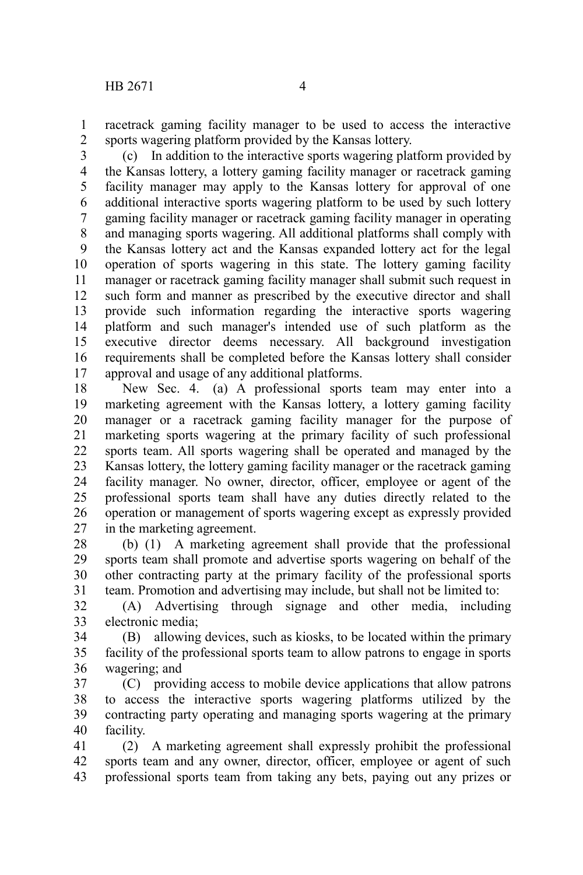racetrack gaming facility manager to be used to access the interactive sports wagering platform provided by the Kansas lottery. 1 2

(c) In addition to the interactive sports wagering platform provided by the Kansas lottery, a lottery gaming facility manager or racetrack gaming facility manager may apply to the Kansas lottery for approval of one additional interactive sports wagering platform to be used by such lottery gaming facility manager or racetrack gaming facility manager in operating and managing sports wagering. All additional platforms shall comply with the Kansas lottery act and the Kansas expanded lottery act for the legal operation of sports wagering in this state. The lottery gaming facility manager or racetrack gaming facility manager shall submit such request in such form and manner as prescribed by the executive director and shall provide such information regarding the interactive sports wagering platform and such manager's intended use of such platform as the executive director deems necessary. All background investigation requirements shall be completed before the Kansas lottery shall consider approval and usage of any additional platforms. 3 4 5 6 7 8 9 10 11 12 13 14 15 16 17

New Sec. 4. (a) A professional sports team may enter into a marketing agreement with the Kansas lottery, a lottery gaming facility manager or a racetrack gaming facility manager for the purpose of marketing sports wagering at the primary facility of such professional sports team. All sports wagering shall be operated and managed by the Kansas lottery, the lottery gaming facility manager or the racetrack gaming facility manager. No owner, director, officer, employee or agent of the professional sports team shall have any duties directly related to the operation or management of sports wagering except as expressly provided in the marketing agreement. 18 19 20 21 22 23 24 25 26 27

(b) (1) A marketing agreement shall provide that the professional sports team shall promote and advertise sports wagering on behalf of the other contracting party at the primary facility of the professional sports team. Promotion and advertising may include, but shall not be limited to: 28 29 30 31

(A) Advertising through signage and other media, including electronic media; 32 33

(B) allowing devices, such as kiosks, to be located within the primary facility of the professional sports team to allow patrons to engage in sports wagering; and 34 35 36

(C) providing access to mobile device applications that allow patrons to access the interactive sports wagering platforms utilized by the contracting party operating and managing sports wagering at the primary facility. 37 38 39 40

(2) A marketing agreement shall expressly prohibit the professional sports team and any owner, director, officer, employee or agent of such professional sports team from taking any bets, paying out any prizes or 41 42 43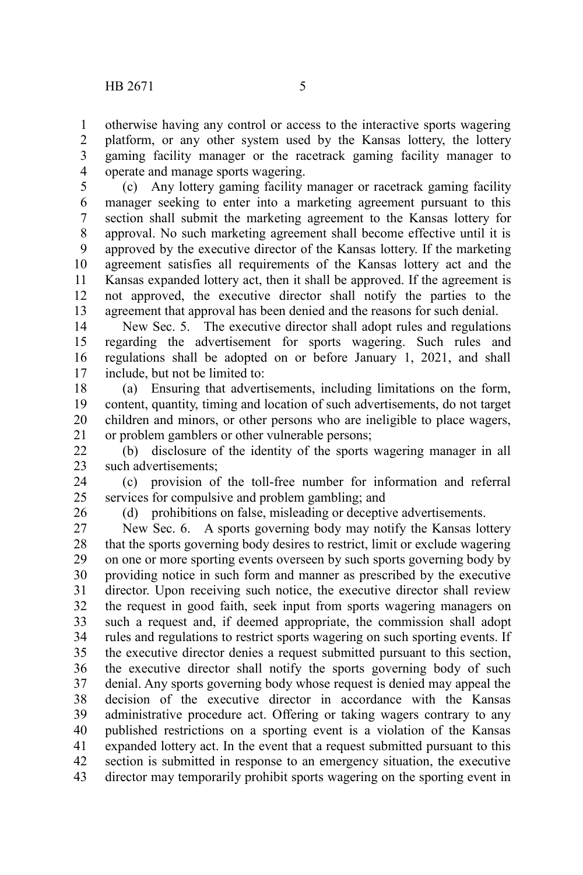otherwise having any control or access to the interactive sports wagering platform, or any other system used by the Kansas lottery, the lottery gaming facility manager or the racetrack gaming facility manager to operate and manage sports wagering. 1 2 3 4

(c) Any lottery gaming facility manager or racetrack gaming facility manager seeking to enter into a marketing agreement pursuant to this section shall submit the marketing agreement to the Kansas lottery for approval. No such marketing agreement shall become effective until it is approved by the executive director of the Kansas lottery. If the marketing agreement satisfies all requirements of the Kansas lottery act and the Kansas expanded lottery act, then it shall be approved. If the agreement is not approved, the executive director shall notify the parties to the agreement that approval has been denied and the reasons for such denial. 5 6 7 8 9 10 11 12 13

New Sec. 5. The executive director shall adopt rules and regulations regarding the advertisement for sports wagering. Such rules and regulations shall be adopted on or before January 1, 2021, and shall include, but not be limited to: 14 15 16 17

(a) Ensuring that advertisements, including limitations on the form, content, quantity, timing and location of such advertisements, do not target children and minors, or other persons who are ineligible to place wagers, or problem gamblers or other vulnerable persons; 18 19 20 21

(b) disclosure of the identity of the sports wagering manager in all such advertisements; 22 23

(c) provision of the toll-free number for information and referral services for compulsive and problem gambling; and 24 25

26

(d) prohibitions on false, misleading or deceptive advertisements.

New Sec. 6. A sports governing body may notify the Kansas lottery that the sports governing body desires to restrict, limit or exclude wagering on one or more sporting events overseen by such sports governing body by providing notice in such form and manner as prescribed by the executive director. Upon receiving such notice, the executive director shall review the request in good faith, seek input from sports wagering managers on such a request and, if deemed appropriate, the commission shall adopt rules and regulations to restrict sports wagering on such sporting events. If the executive director denies a request submitted pursuant to this section, the executive director shall notify the sports governing body of such denial. Any sports governing body whose request is denied may appeal the decision of the executive director in accordance with the Kansas administrative procedure act. Offering or taking wagers contrary to any published restrictions on a sporting event is a violation of the Kansas expanded lottery act. In the event that a request submitted pursuant to this section is submitted in response to an emergency situation, the executive director may temporarily prohibit sports wagering on the sporting event in 27 28 29 30 31 32 33 34 35 36 37 38 39 40 41 42 43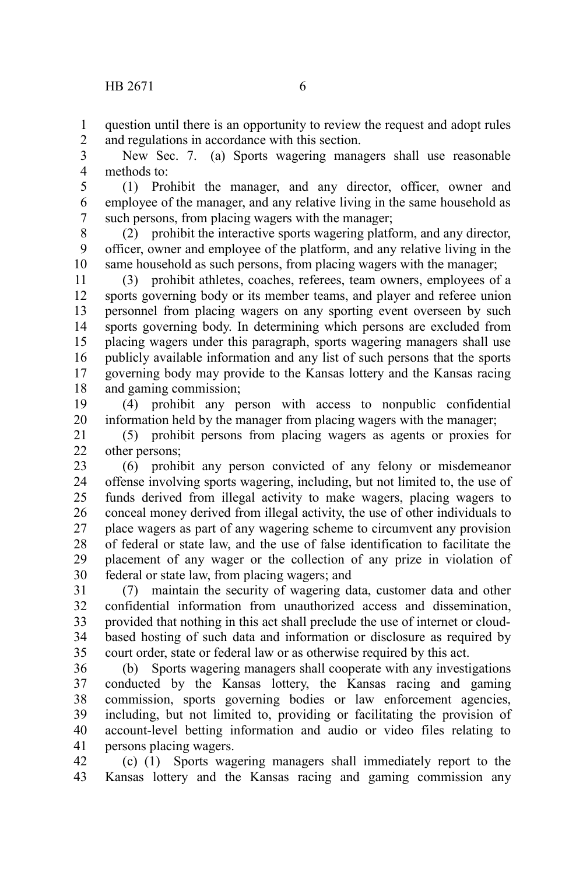question until there is an opportunity to review the request and adopt rules and regulations in accordance with this section. 1 2

New Sec. 7. (a) Sports wagering managers shall use reasonable methods to: 3 4

(1) Prohibit the manager, and any director, officer, owner and employee of the manager, and any relative living in the same household as such persons, from placing wagers with the manager; 5 6 7

(2) prohibit the interactive sports wagering platform, and any director, officer, owner and employee of the platform, and any relative living in the same household as such persons, from placing wagers with the manager; 8 9 10

(3) prohibit athletes, coaches, referees, team owners, employees of a sports governing body or its member teams, and player and referee union personnel from placing wagers on any sporting event overseen by such sports governing body. In determining which persons are excluded from placing wagers under this paragraph, sports wagering managers shall use publicly available information and any list of such persons that the sports governing body may provide to the Kansas lottery and the Kansas racing and gaming commission; 11 12 13 14 15 16 17 18

(4) prohibit any person with access to nonpublic confidential information held by the manager from placing wagers with the manager; 19 20

(5) prohibit persons from placing wagers as agents or proxies for other persons; 21 22

(6) prohibit any person convicted of any felony or misdemeanor offense involving sports wagering, including, but not limited to, the use of funds derived from illegal activity to make wagers, placing wagers to conceal money derived from illegal activity, the use of other individuals to place wagers as part of any wagering scheme to circumvent any provision of federal or state law, and the use of false identification to facilitate the placement of any wager or the collection of any prize in violation of federal or state law, from placing wagers; and 23 24 25 26 27 28 29 30

(7) maintain the security of wagering data, customer data and other confidential information from unauthorized access and dissemination, provided that nothing in this act shall preclude the use of internet or cloudbased hosting of such data and information or disclosure as required by court order, state or federal law or as otherwise required by this act. 31 32 33 34 35

(b) Sports wagering managers shall cooperate with any investigations conducted by the Kansas lottery, the Kansas racing and gaming commission, sports governing bodies or law enforcement agencies, including, but not limited to, providing or facilitating the provision of account-level betting information and audio or video files relating to persons placing wagers. 36 37 38 39 40 41

(c) (1) Sports wagering managers shall immediately report to the Kansas lottery and the Kansas racing and gaming commission any 42 43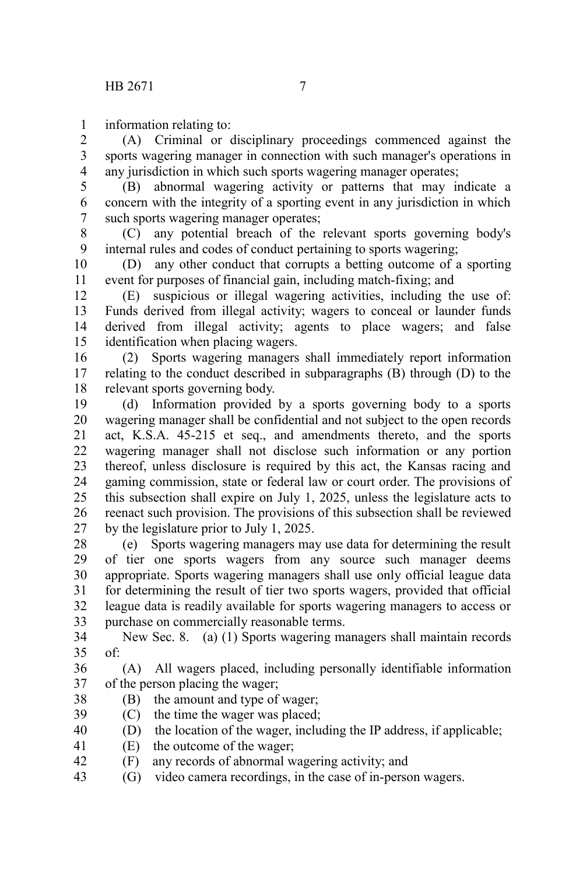information relating to: 1

(A) Criminal or disciplinary proceedings commenced against the sports wagering manager in connection with such manager's operations in any jurisdiction in which such sports wagering manager operates; 2 3 4

(B) abnormal wagering activity or patterns that may indicate a concern with the integrity of a sporting event in any jurisdiction in which such sports wagering manager operates; 5 6 7

(C) any potential breach of the relevant sports governing body's internal rules and codes of conduct pertaining to sports wagering; 8 9

(D) any other conduct that corrupts a betting outcome of a sporting event for purposes of financial gain, including match-fixing; and 10 11

(E) suspicious or illegal wagering activities, including the use of: Funds derived from illegal activity; wagers to conceal or launder funds derived from illegal activity; agents to place wagers; and false identification when placing wagers. 12 13 14 15

(2) Sports wagering managers shall immediately report information relating to the conduct described in subparagraphs (B) through (D) to the relevant sports governing body. 16 17 18

(d) Information provided by a sports governing body to a sports wagering manager shall be confidential and not subject to the open records act, K.S.A. 45-215 et seq., and amendments thereto, and the sports wagering manager shall not disclose such information or any portion thereof, unless disclosure is required by this act, the Kansas racing and gaming commission, state or federal law or court order. The provisions of this subsection shall expire on July 1, 2025, unless the legislature acts to reenact such provision. The provisions of this subsection shall be reviewed by the legislature prior to July 1, 2025. 19 20 21 22 23 24 25 26 27

(e) Sports wagering managers may use data for determining the result of tier one sports wagers from any source such manager deems appropriate. Sports wagering managers shall use only official league data for determining the result of tier two sports wagers, provided that official league data is readily available for sports wagering managers to access or purchase on commercially reasonable terms. 28 29 30 31 32 33

New Sec. 8. (a) (1) Sports wagering managers shall maintain records of: 34 35

(A) All wagers placed, including personally identifiable information of the person placing the wager; 36 37

- (B) the amount and type of wager; 38
- (C) the time the wager was placed; 39
- (D) the location of the wager, including the IP address, if applicable; 40
- (E) the outcome of the wager; 41
- (F) any records of abnormal wagering activity; and 42
- (G) video camera recordings, in the case of in-person wagers. 43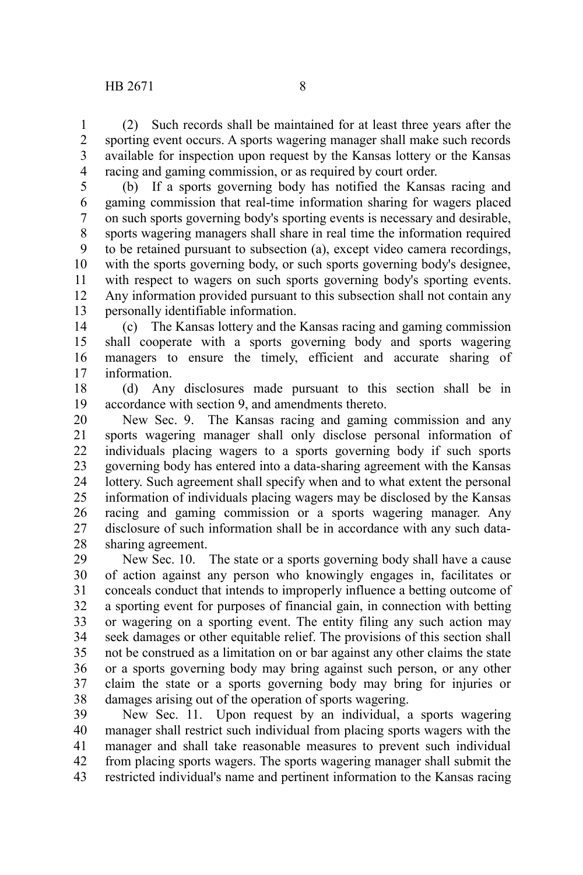(2) Such records shall be maintained for at least three years after the sporting event occurs. A sports wagering manager shall make such records available for inspection upon request by the Kansas lottery or the Kansas racing and gaming commission, or as required by court order. 1 2 3 4

(b) If a sports governing body has notified the Kansas racing and gaming commission that real-time information sharing for wagers placed on such sports governing body's sporting events is necessary and desirable, sports wagering managers shall share in real time the information required to be retained pursuant to subsection (a), except video camera recordings, with the sports governing body, or such sports governing body's designee, with respect to wagers on such sports governing body's sporting events. Any information provided pursuant to this subsection shall not contain any personally identifiable information. 5 6 7 8 9 10 11 12 13

(c) The Kansas lottery and the Kansas racing and gaming commission shall cooperate with a sports governing body and sports wagering managers to ensure the timely, efficient and accurate sharing of information. 14 15 16 17

(d) Any disclosures made pursuant to this section shall be in accordance with section 9, and amendments thereto. 18 19

New Sec. 9. The Kansas racing and gaming commission and any sports wagering manager shall only disclose personal information of individuals placing wagers to a sports governing body if such sports governing body has entered into a data-sharing agreement with the Kansas lottery. Such agreement shall specify when and to what extent the personal information of individuals placing wagers may be disclosed by the Kansas racing and gaming commission or a sports wagering manager. Any disclosure of such information shall be in accordance with any such datasharing agreement. 20 21 22 23 24 25 26 27 28

New Sec. 10. The state or a sports governing body shall have a cause of action against any person who knowingly engages in, facilitates or conceals conduct that intends to improperly influence a betting outcome of a sporting event for purposes of financial gain, in connection with betting or wagering on a sporting event. The entity filing any such action may seek damages or other equitable relief. The provisions of this section shall not be construed as a limitation on or bar against any other claims the state or a sports governing body may bring against such person, or any other claim the state or a sports governing body may bring for injuries or damages arising out of the operation of sports wagering. 29 30 31 32 33 34 35 36 37 38

New Sec. 11. Upon request by an individual, a sports wagering manager shall restrict such individual from placing sports wagers with the manager and shall take reasonable measures to prevent such individual from placing sports wagers. The sports wagering manager shall submit the restricted individual's name and pertinent information to the Kansas racing 39 40 41 42 43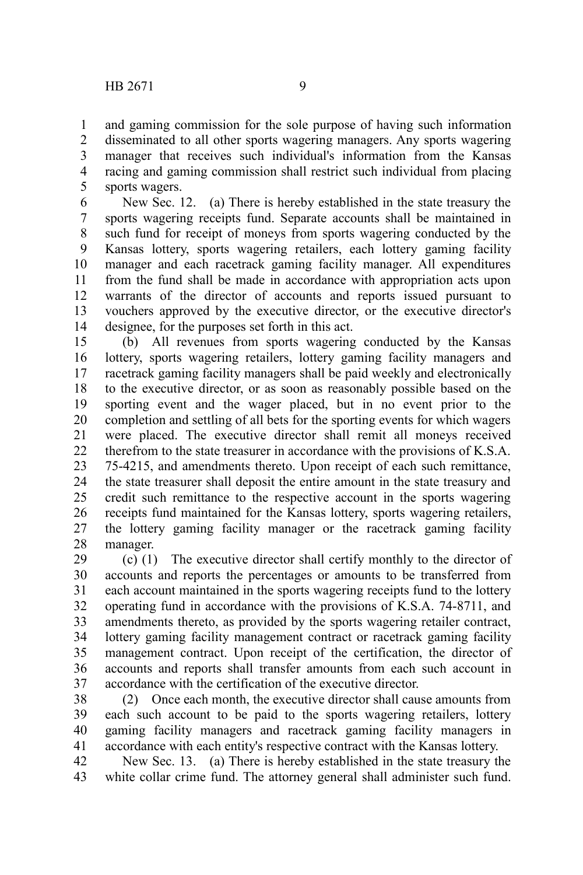and gaming commission for the sole purpose of having such information disseminated to all other sports wagering managers. Any sports wagering manager that receives such individual's information from the Kansas racing and gaming commission shall restrict such individual from placing sports wagers. 1 2 3 4 5

New Sec. 12. (a) There is hereby established in the state treasury the sports wagering receipts fund. Separate accounts shall be maintained in such fund for receipt of moneys from sports wagering conducted by the Kansas lottery, sports wagering retailers, each lottery gaming facility manager and each racetrack gaming facility manager. All expenditures from the fund shall be made in accordance with appropriation acts upon warrants of the director of accounts and reports issued pursuant to vouchers approved by the executive director, or the executive director's designee, for the purposes set forth in this act. 6 7 8 9 10 11 12 13 14

(b) All revenues from sports wagering conducted by the Kansas lottery, sports wagering retailers, lottery gaming facility managers and racetrack gaming facility managers shall be paid weekly and electronically to the executive director, or as soon as reasonably possible based on the sporting event and the wager placed, but in no event prior to the completion and settling of all bets for the sporting events for which wagers were placed. The executive director shall remit all moneys received therefrom to the state treasurer in accordance with the provisions of K.S.A. 75-4215, and amendments thereto. Upon receipt of each such remittance, the state treasurer shall deposit the entire amount in the state treasury and credit such remittance to the respective account in the sports wagering receipts fund maintained for the Kansas lottery, sports wagering retailers, the lottery gaming facility manager or the racetrack gaming facility manager. 15 16 17 18 19 20 21 22 23 24 25 26 27 28

(c) (1) The executive director shall certify monthly to the director of accounts and reports the percentages or amounts to be transferred from each account maintained in the sports wagering receipts fund to the lottery operating fund in accordance with the provisions of K.S.A. 74-8711, and amendments thereto, as provided by the sports wagering retailer contract, lottery gaming facility management contract or racetrack gaming facility management contract. Upon receipt of the certification, the director of accounts and reports shall transfer amounts from each such account in accordance with the certification of the executive director. 29 30 31 32 33 34 35 36 37

(2) Once each month, the executive director shall cause amounts from each such account to be paid to the sports wagering retailers, lottery gaming facility managers and racetrack gaming facility managers in accordance with each entity's respective contract with the Kansas lottery. 38 39 40 41

New Sec. 13. (a) There is hereby established in the state treasury the white collar crime fund. The attorney general shall administer such fund. 42 43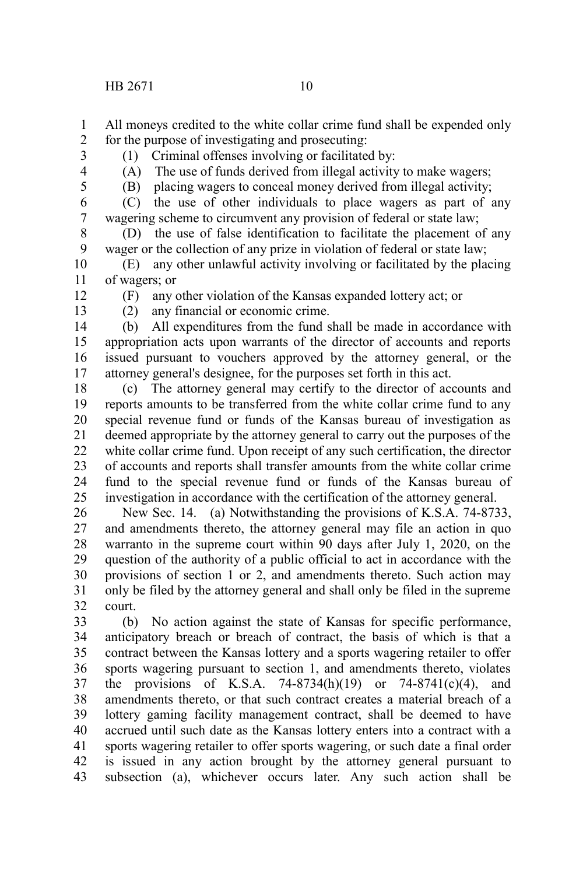All moneys credited to the white collar crime fund shall be expended only for the purpose of investigating and prosecuting: 1 2

3

(1) Criminal offenses involving or facilitated by:

4

(A) The use of funds derived from illegal activity to make wagers;

5

(B) placing wagers to conceal money derived from illegal activity;

(C) the use of other individuals to place wagers as part of any wagering scheme to circumvent any provision of federal or state law; 6 7

(D) the use of false identification to facilitate the placement of any wager or the collection of any prize in violation of federal or state law; 8 9

(E) any other unlawful activity involving or facilitated by the placing of wagers; or 10 11

- 12
- 13

(F) any other violation of the Kansas expanded lottery act; or (2) any financial or economic crime.

(b) All expenditures from the fund shall be made in accordance with appropriation acts upon warrants of the director of accounts and reports issued pursuant to vouchers approved by the attorney general, or the attorney general's designee, for the purposes set forth in this act. 14 15 16 17

(c) The attorney general may certify to the director of accounts and reports amounts to be transferred from the white collar crime fund to any special revenue fund or funds of the Kansas bureau of investigation as deemed appropriate by the attorney general to carry out the purposes of the white collar crime fund. Upon receipt of any such certification, the director of accounts and reports shall transfer amounts from the white collar crime fund to the special revenue fund or funds of the Kansas bureau of investigation in accordance with the certification of the attorney general. 18 19 20 21 22 23 24 25

New Sec. 14. (a) Notwithstanding the provisions of K.S.A. 74-8733, and amendments thereto, the attorney general may file an action in quo warranto in the supreme court within 90 days after July 1, 2020, on the question of the authority of a public official to act in accordance with the provisions of section 1 or 2, and amendments thereto. Such action may only be filed by the attorney general and shall only be filed in the supreme court. 26 27 28 29 30 31 32

(b) No action against the state of Kansas for specific performance, anticipatory breach or breach of contract, the basis of which is that a contract between the Kansas lottery and a sports wagering retailer to offer sports wagering pursuant to section 1, and amendments thereto, violates the provisions of K.S.A. 74-8734(h)(19) or 74-8741(c)(4), and amendments thereto, or that such contract creates a material breach of a lottery gaming facility management contract, shall be deemed to have accrued until such date as the Kansas lottery enters into a contract with a sports wagering retailer to offer sports wagering, or such date a final order is issued in any action brought by the attorney general pursuant to subsection (a), whichever occurs later. Any such action shall be 33 34 35 36 37 38 39 40 41 42 43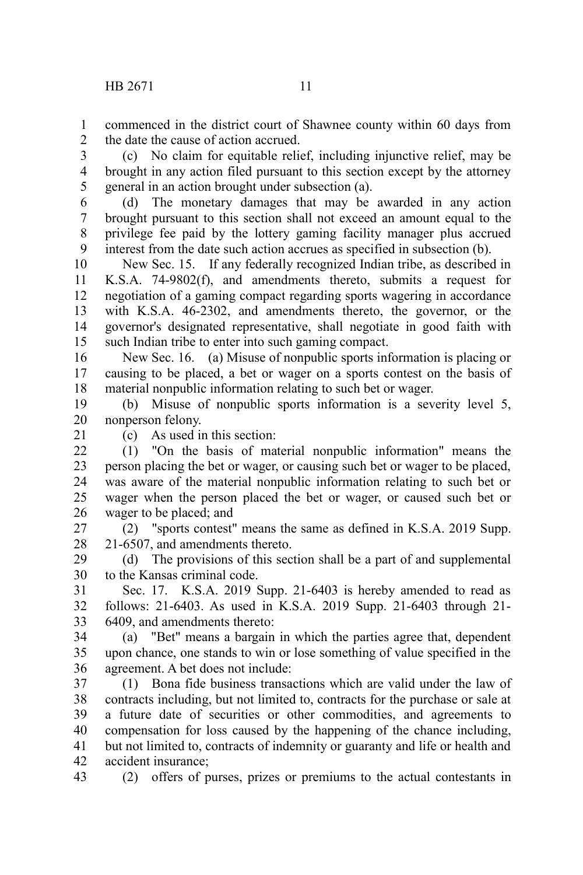commenced in the district court of Shawnee county within 60 days from the date the cause of action accrued. 1  $\mathcal{L}$ 

(c) No claim for equitable relief, including injunctive relief, may be brought in any action filed pursuant to this section except by the attorney general in an action brought under subsection (a). 3 4 5

(d) The monetary damages that may be awarded in any action brought pursuant to this section shall not exceed an amount equal to the privilege fee paid by the lottery gaming facility manager plus accrued interest from the date such action accrues as specified in subsection (b). 6 7 8 9

New Sec. 15. If any federally recognized Indian tribe, as described in K.S.A. 74-9802(f), and amendments thereto, submits a request for negotiation of a gaming compact regarding sports wagering in accordance with K.S.A. 46-2302, and amendments thereto, the governor, or the governor's designated representative, shall negotiate in good faith with such Indian tribe to enter into such gaming compact. 10 11 12 13 14 15

New Sec. 16. (a) Misuse of nonpublic sports information is placing or causing to be placed, a bet or wager on a sports contest on the basis of material nonpublic information relating to such bet or wager. 16 17 18

(b) Misuse of nonpublic sports information is a severity level 5, nonperson felony. 19 20

21

(c) As used in this section:

(1) "On the basis of material nonpublic information" means the person placing the bet or wager, or causing such bet or wager to be placed, was aware of the material nonpublic information relating to such bet or wager when the person placed the bet or wager, or caused such bet or wager to be placed; and  $22$ 23 24 25 26

(2) "sports contest" means the same as defined in K.S.A. 2019 Supp. 21-6507, and amendments thereto. 27 28

(d) The provisions of this section shall be a part of and supplemental to the Kansas criminal code. 29 30

Sec. 17. K.S.A. 2019 Supp. 21-6403 is hereby amended to read as follows: 21-6403. As used in K.S.A. 2019 Supp. 21-6403 through 21- 6409, and amendments thereto: 31 32 33

(a) "Bet" means a bargain in which the parties agree that, dependent upon chance, one stands to win or lose something of value specified in the agreement. A bet does not include: 34 35 36

(1) Bona fide business transactions which are valid under the law of contracts including, but not limited to, contracts for the purchase or sale at a future date of securities or other commodities, and agreements to compensation for loss caused by the happening of the chance including, but not limited to, contracts of indemnity or guaranty and life or health and accident insurance; 37 38 39 40 41 42

(2) offers of purses, prizes or premiums to the actual contestants in 43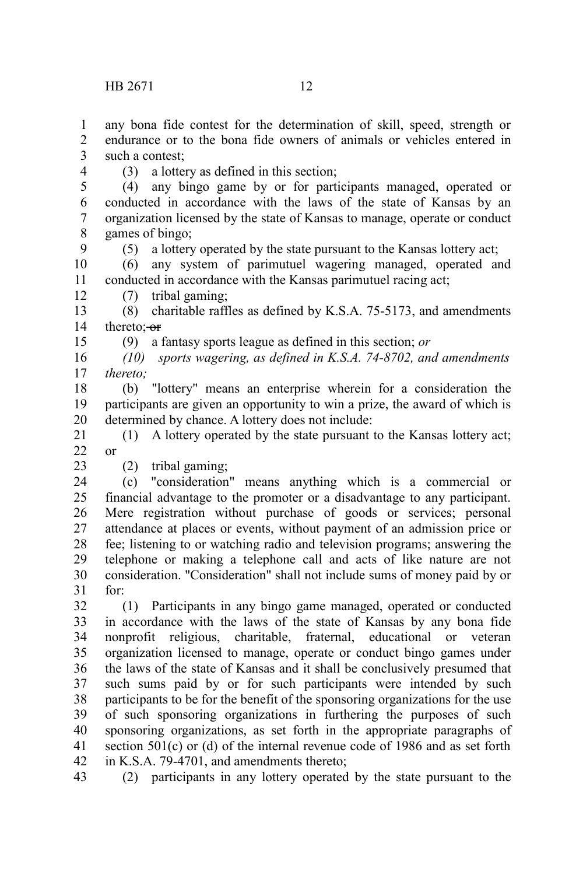any bona fide contest for the determination of skill, speed, strength or endurance or to the bona fide owners of animals or vehicles entered in such a contest; 1 2 3

4

9

12

15

23

(3) a lottery as defined in this section;

(4) any bingo game by or for participants managed, operated or conducted in accordance with the laws of the state of Kansas by an organization licensed by the state of Kansas to manage, operate or conduct games of bingo; 5 6 7 8

(5) a lottery operated by the state pursuant to the Kansas lottery act;

(6) any system of parimutuel wagering managed, operated and conducted in accordance with the Kansas parimutuel racing act; 10 11

(7) tribal gaming;

(8) charitable raffles as defined by K.S.A. 75-5173, and amendments thereto: or 13 14

(9) a fantasy sports league as defined in this section; *or*

*(10) sports wagering, as defined in K.S.A. 74-8702, and amendments thereto;* 16 17

(b) "lottery" means an enterprise wherein for a consideration the participants are given an opportunity to win a prize, the award of which is determined by chance. A lottery does not include: 18 19 20

(1) A lottery operated by the state pursuant to the Kansas lottery act; or 21  $22$ 

(2) tribal gaming;

(c) "consideration" means anything which is a commercial or financial advantage to the promoter or a disadvantage to any participant. Mere registration without purchase of goods or services; personal attendance at places or events, without payment of an admission price or fee; listening to or watching radio and television programs; answering the telephone or making a telephone call and acts of like nature are not consideration. "Consideration" shall not include sums of money paid by or for: 24 25 26 27 28 29 30 31

(1) Participants in any bingo game managed, operated or conducted in accordance with the laws of the state of Kansas by any bona fide nonprofit religious, charitable, fraternal, educational or veteran organization licensed to manage, operate or conduct bingo games under the laws of the state of Kansas and it shall be conclusively presumed that such sums paid by or for such participants were intended by such participants to be for the benefit of the sponsoring organizations for the use of such sponsoring organizations in furthering the purposes of such sponsoring organizations, as set forth in the appropriate paragraphs of section 501(c) or (d) of the internal revenue code of 1986 and as set forth in K.S.A. 79-4701, and amendments thereto; 32 33 34 35 36 37 38 39 40 41 42

(2) participants in any lottery operated by the state pursuant to the 43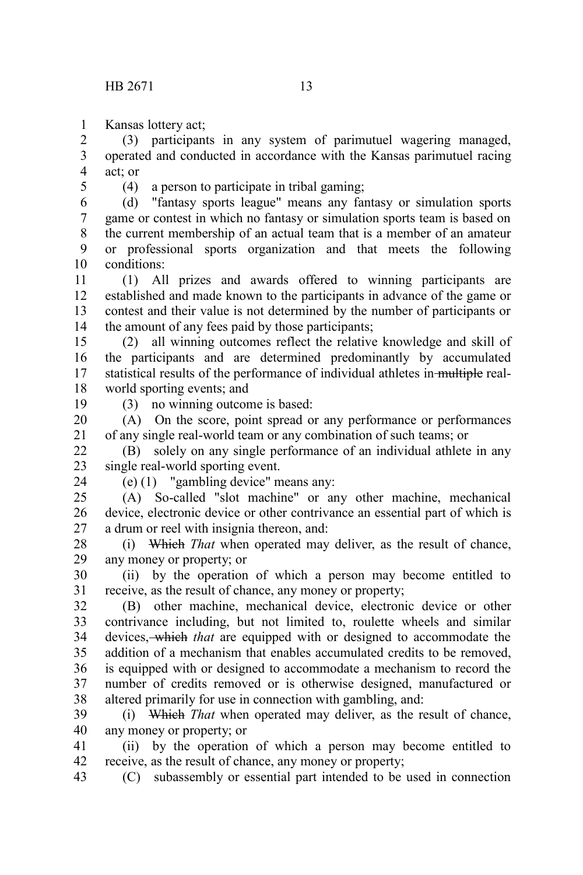Kansas lottery act; 1

(3) participants in any system of parimutuel wagering managed, operated and conducted in accordance with the Kansas parimutuel racing act; or 2 3 4

5

(4) a person to participate in tribal gaming;

(d) "fantasy sports league" means any fantasy or simulation sports game or contest in which no fantasy or simulation sports team is based on the current membership of an actual team that is a member of an amateur or professional sports organization and that meets the following conditions: 6 7 8 9 10

(1) All prizes and awards offered to winning participants are established and made known to the participants in advance of the game or contest and their value is not determined by the number of participants or the amount of any fees paid by those participants; 11 12 13 14

(2) all winning outcomes reflect the relative knowledge and skill of the participants and are determined predominantly by accumulated statistical results of the performance of individual athletes in multiple realworld sporting events; and 15 16 17 18

19

(3) no winning outcome is based:

(A) On the score, point spread or any performance or performances of any single real-world team or any combination of such teams; or 20 21

(B) solely on any single performance of an individual athlete in any single real-world sporting event.  $22$ 23

24

(e) (1) "gambling device" means any:

(A) So-called "slot machine" or any other machine, mechanical device, electronic device or other contrivance an essential part of which is a drum or reel with insignia thereon, and:  $25$ 26 27

(i) Which *That* when operated may deliver, as the result of chance, any money or property; or 28 29

(ii) by the operation of which a person may become entitled to receive, as the result of chance, any money or property; 30 31

(B) other machine, mechanical device, electronic device or other contrivance including, but not limited to, roulette wheels and similar devices, which *that* are equipped with or designed to accommodate the addition of a mechanism that enables accumulated credits to be removed, is equipped with or designed to accommodate a mechanism to record the number of credits removed or is otherwise designed, manufactured or altered primarily for use in connection with gambling, and: 32 33 34 35 36 37 38

(i) Which *That* when operated may deliver, as the result of chance, any money or property; or 39 40

(ii) by the operation of which a person may become entitled to receive, as the result of chance, any money or property; 41 42

(C) subassembly or essential part intended to be used in connection 43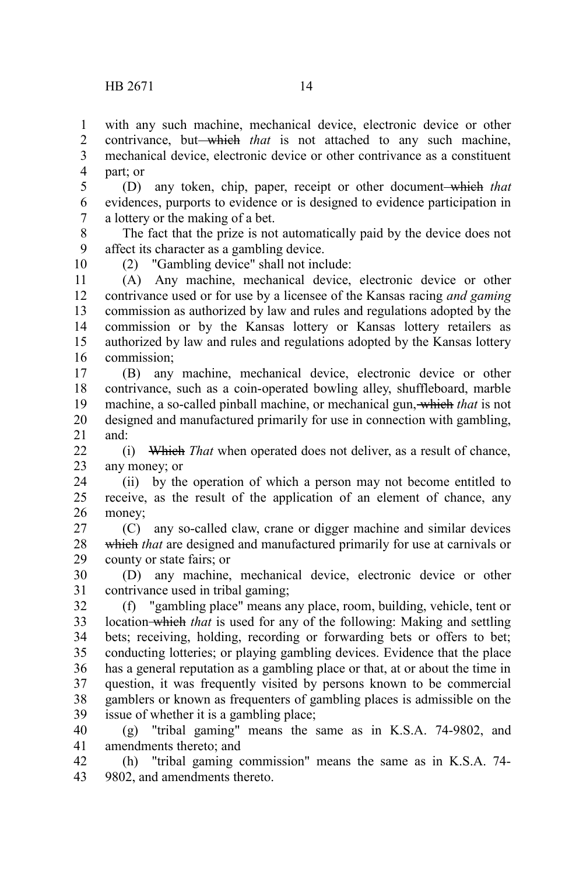with any such machine, mechanical device, electronic device or other contrivance, but—which that is not attached to any such machine, mechanical device, electronic device or other contrivance as a constituent part; or 1 2 3 4

(D) any token, chip, paper, receipt or other document which *that* evidences, purports to evidence or is designed to evidence participation in a lottery or the making of a bet. 5 6 7

The fact that the prize is not automatically paid by the device does not affect its character as a gambling device. 8 9

(2) "Gambling device" shall not include: 10

(A) Any machine, mechanical device, electronic device or other contrivance used or for use by a licensee of the Kansas racing *and gaming* commission as authorized by law and rules and regulations adopted by the commission or by the Kansas lottery or Kansas lottery retailers as authorized by law and rules and regulations adopted by the Kansas lottery commission; 11 12 13 14 15 16

(B) any machine, mechanical device, electronic device or other contrivance, such as a coin-operated bowling alley, shuffleboard, marble machine, a so-called pinball machine, or mechanical gun, which *that* is not designed and manufactured primarily for use in connection with gambling, and: 17 18 19 20 21

(i) Which *That* when operated does not deliver, as a result of chance, any money; or  $22$ 23

(ii) by the operation of which a person may not become entitled to receive, as the result of the application of an element of chance, any money; 24 25 26

(C) any so-called claw, crane or digger machine and similar devices which *that* are designed and manufactured primarily for use at carnivals or county or state fairs; or 27 28 29

(D) any machine, mechanical device, electronic device or other contrivance used in tribal gaming; 30 31

(f) "gambling place" means any place, room, building, vehicle, tent or location which *that* is used for any of the following: Making and settling bets; receiving, holding, recording or forwarding bets or offers to bet; conducting lotteries; or playing gambling devices. Evidence that the place has a general reputation as a gambling place or that, at or about the time in question, it was frequently visited by persons known to be commercial gamblers or known as frequenters of gambling places is admissible on the issue of whether it is a gambling place; 32 33 34 35 36 37 38 39

(g) "tribal gaming" means the same as in K.S.A. 74-9802, and amendments thereto; and 40 41

(h) "tribal gaming commission" means the same as in K.S.A. 74- 9802, and amendments thereto. 42 43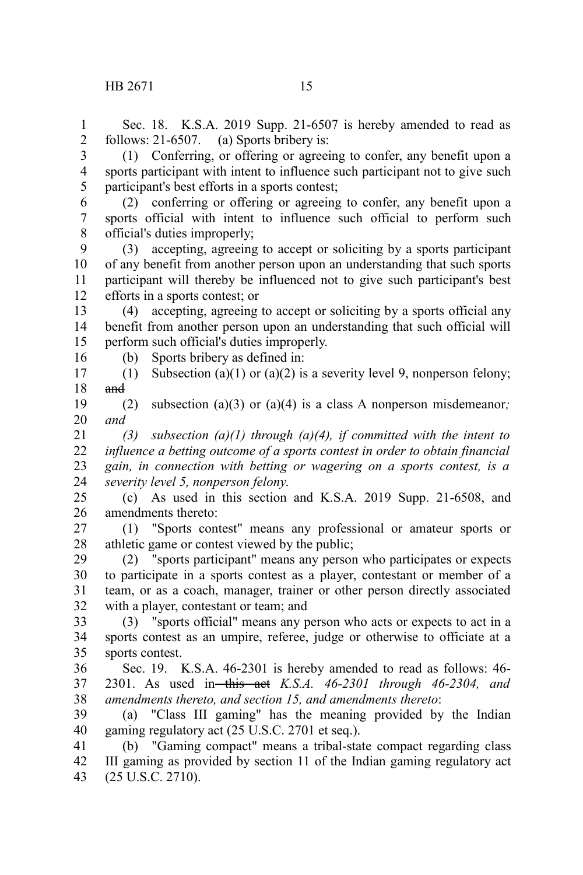16

Sec. 18. K.S.A. 2019 Supp. 21-6507 is hereby amended to read as follows: 21-6507. (a) Sports bribery is: 1 2

(1) Conferring, or offering or agreeing to confer, any benefit upon a sports participant with intent to influence such participant not to give such participant's best efforts in a sports contest; 3 4 5

(2) conferring or offering or agreeing to confer, any benefit upon a sports official with intent to influence such official to perform such official's duties improperly; 6 7 8

(3) accepting, agreeing to accept or soliciting by a sports participant of any benefit from another person upon an understanding that such sports participant will thereby be influenced not to give such participant's best efforts in a sports contest; or 9 10 11 12

(4) accepting, agreeing to accept or soliciting by a sports official any benefit from another person upon an understanding that such official will perform such official's duties improperly. 13 14 15

(b) Sports bribery as defined in:

(1) Subsection (a)(1) or (a)(2) is a severity level 9, nonperson felony; and 17 18

(2) subsection (a)(3) or (a)(4) is a class A nonperson misdemeanor*; and* 19 20

*(3) subsection (a)(1) through (a)(4), if committed with the intent to influence a betting outcome of a sports contest in order to obtain financial gain, in connection with betting or wagering on a sports contest, is a severity level 5, nonperson felony*. 21 22 23 24

(c) As used in this section and K.S.A. 2019 Supp. 21-6508, and amendments thereto: 25 26

(1) "Sports contest" means any professional or amateur sports or athletic game or contest viewed by the public; 27 28

(2) "sports participant" means any person who participates or expects to participate in a sports contest as a player, contestant or member of a team, or as a coach, manager, trainer or other person directly associated with a player, contestant or team; and 29 30 31 32

(3) "sports official" means any person who acts or expects to act in a sports contest as an umpire, referee, judge or otherwise to officiate at a sports contest. 33 34 35

Sec. 19. K.S.A. 46-2301 is hereby amended to read as follows: 46- 2301. As used in this act *K.S.A. 46-2301 through 46-2304, and amendments thereto, and section 15, and amendments thereto*: 36 37 38

(a) "Class III gaming" has the meaning provided by the Indian gaming regulatory act (25 U.S.C. 2701 et seq.). 39 40

(b) "Gaming compact" means a tribal-state compact regarding class III gaming as provided by section 11 of the Indian gaming regulatory act (25 U.S.C. 2710). 41 42 43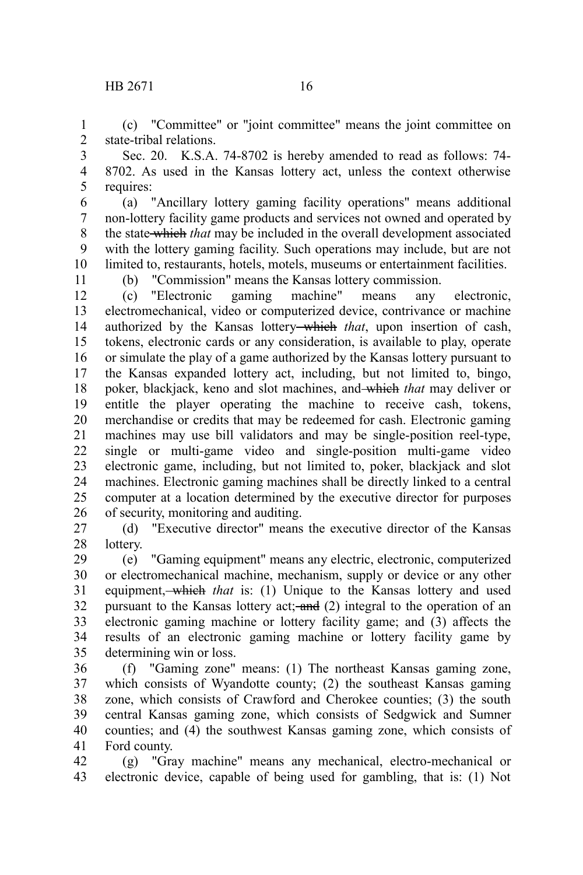(c) "Committee" or "joint committee" means the joint committee on state-tribal relations. 1 2

Sec. 20. K.S.A. 74-8702 is hereby amended to read as follows: 74- 8702. As used in the Kansas lottery act, unless the context otherwise requires: 3 4 5

(a) "Ancillary lottery gaming facility operations" means additional non-lottery facility game products and services not owned and operated by the state which *that* may be included in the overall development associated with the lottery gaming facility. Such operations may include, but are not limited to, restaurants, hotels, motels, museums or entertainment facilities. 6 7 8 9 10

11

(b) "Commission" means the Kansas lottery commission.

(c) "Electronic gaming machine" means any electronic, electromechanical, video or computerized device, contrivance or machine authorized by the Kansas lottery which *that*, upon insertion of cash, tokens, electronic cards or any consideration, is available to play, operate or simulate the play of a game authorized by the Kansas lottery pursuant to the Kansas expanded lottery act, including, but not limited to, bingo, poker, blackjack, keno and slot machines, and which *that* may deliver or entitle the player operating the machine to receive cash, tokens, merchandise or credits that may be redeemed for cash. Electronic gaming machines may use bill validators and may be single-position reel-type, single or multi-game video and single-position multi-game video electronic game, including, but not limited to, poker, blackjack and slot machines. Electronic gaming machines shall be directly linked to a central computer at a location determined by the executive director for purposes of security, monitoring and auditing. 12 13 14 15 16 17 18 19 20 21 22 23 24 25 26

(d) "Executive director" means the executive director of the Kansas lottery. 27 28

(e) "Gaming equipment" means any electric, electronic, computerized or electromechanical machine, mechanism, supply or device or any other equipment, which *that* is: (1) Unique to the Kansas lottery and used pursuant to the Kansas lottery act; and (2) integral to the operation of an electronic gaming machine or lottery facility game; and (3) affects the results of an electronic gaming machine or lottery facility game by determining win or loss. 29 30 31 32 33 34 35

(f) "Gaming zone" means: (1) The northeast Kansas gaming zone, which consists of Wyandotte county; (2) the southeast Kansas gaming zone, which consists of Crawford and Cherokee counties; (3) the south central Kansas gaming zone, which consists of Sedgwick and Sumner counties; and (4) the southwest Kansas gaming zone, which consists of Ford county. 36 37 38 39 40 41

(g) "Gray machine" means any mechanical, electro-mechanical or electronic device, capable of being used for gambling, that is: (1) Not 42 43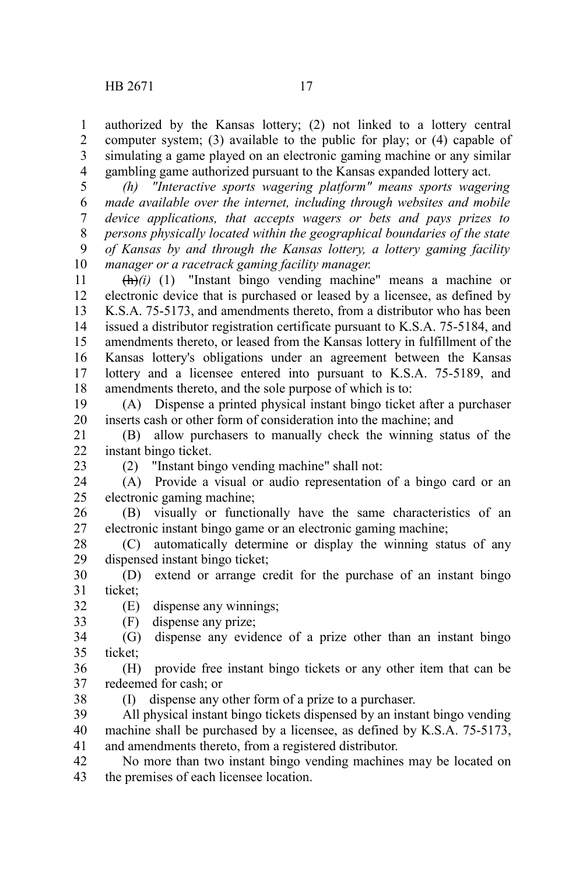authorized by the Kansas lottery; (2) not linked to a lottery central computer system; (3) available to the public for play; or (4) capable of simulating a game played on an electronic gaming machine or any similar gambling game authorized pursuant to the Kansas expanded lottery act. 1 2 3 4

*(h) "Interactive sports wagering platform" means sports wagering made available over the internet, including through websites and mobile device applications, that accepts wagers or bets and pays prizes to persons physically located within the geographical boundaries of the state of Kansas by and through the Kansas lottery, a lottery gaming facility manager or a racetrack gaming facility manager.* 5 6 7 8 9 10

 $\overrightarrow{(h)}$ (*i*) (1) "Instant bingo vending machine" means a machine or electronic device that is purchased or leased by a licensee, as defined by K.S.A. 75-5173, and amendments thereto, from a distributor who has been issued a distributor registration certificate pursuant to K.S.A. 75-5184, and amendments thereto, or leased from the Kansas lottery in fulfillment of the Kansas lottery's obligations under an agreement between the Kansas lottery and a licensee entered into pursuant to K.S.A. 75-5189, and amendments thereto, and the sole purpose of which is to: 11 12 13 14 15 16 17 18

(A) Dispense a printed physical instant bingo ticket after a purchaser inserts cash or other form of consideration into the machine; and 19 20

(B) allow purchasers to manually check the winning status of the instant bingo ticket. 21 22

23

38

(2) "Instant bingo vending machine" shall not:

(A) Provide a visual or audio representation of a bingo card or an electronic gaming machine; 24 25

(B) visually or functionally have the same characteristics of an electronic instant bingo game or an electronic gaming machine; 26 27

(C) automatically determine or display the winning status of any dispensed instant bingo ticket; 28 29

(D) extend or arrange credit for the purchase of an instant bingo ticket; 30 31

(E) dispense any winnings; 32

(F) dispense any prize; 33

(G) dispense any evidence of a prize other than an instant bingo ticket; 34 35

(H) provide free instant bingo tickets or any other item that can be redeemed for cash; or 36 37

(I) dispense any other form of a prize to a purchaser.

All physical instant bingo tickets dispensed by an instant bingo vending machine shall be purchased by a licensee, as defined by K.S.A. 75-5173, and amendments thereto, from a registered distributor. 39 40 41

No more than two instant bingo vending machines may be located on the premises of each licensee location. 42 43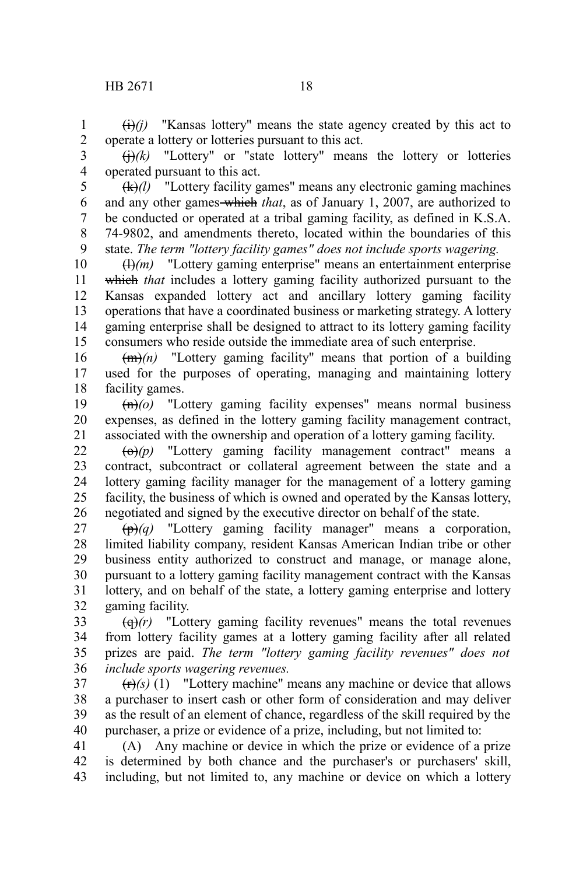$\left(\frac{f}{f}\right)(i)$  "Kansas lottery" means the state agency created by this act to operate a lottery or lotteries pursuant to this act. 1 2

 $\Theta(k)$  "Lottery" or "state lottery" means the lottery or lotteries operated pursuant to this act. 3 4

(k)*(l)* "Lottery facility games" means any electronic gaming machines and any other games which *that*, as of January 1, 2007, are authorized to be conducted or operated at a tribal gaming facility, as defined in K.S.A. 74-9802, and amendments thereto, located within the boundaries of this state. *The term "lottery facility games" does not include sports wagering.* 5 6 7 8 9

(l)*(m)* "Lottery gaming enterprise" means an entertainment enterprise which *that* includes a lottery gaming facility authorized pursuant to the Kansas expanded lottery act and ancillary lottery gaming facility operations that have a coordinated business or marketing strategy. A lottery gaming enterprise shall be designed to attract to its lottery gaming facility consumers who reside outside the immediate area of such enterprise. 10 11 12 13 14 15

(m)*(n)* "Lottery gaming facility" means that portion of a building used for the purposes of operating, managing and maintaining lottery facility games. 16 17 18

(n)*(o)* "Lottery gaming facility expenses" means normal business expenses, as defined in the lottery gaming facility management contract, associated with the ownership and operation of a lottery gaming facility. 19 20 21

(o)*(p)* "Lottery gaming facility management contract" means a contract, subcontract or collateral agreement between the state and a lottery gaming facility manager for the management of a lottery gaming facility, the business of which is owned and operated by the Kansas lottery, negotiated and signed by the executive director on behalf of the state. 22 23 24 25 26

 $(\theta)$  "Lottery gaming facility manager" means a corporation, limited liability company, resident Kansas American Indian tribe or other business entity authorized to construct and manage, or manage alone, pursuant to a lottery gaming facility management contract with the Kansas lottery, and on behalf of the state, a lottery gaming enterprise and lottery gaming facility. 27 28 29 30 31 32

 $\left(\frac{q}{r}\right)$  "Lottery gaming facility revenues" means the total revenues from lottery facility games at a lottery gaming facility after all related prizes are paid. *The term "lottery gaming facility revenues" does not include sports wagering revenues.* 33 34 35 36

 $(r)$ <sup>(r)</sup> $(s)$  (1) "Lottery machine" means any machine or device that allows a purchaser to insert cash or other form of consideration and may deliver as the result of an element of chance, regardless of the skill required by the purchaser, a prize or evidence of a prize, including, but not limited to: 37 38 39 40

(A) Any machine or device in which the prize or evidence of a prize is determined by both chance and the purchaser's or purchasers' skill, including, but not limited to, any machine or device on which a lottery 41 42 43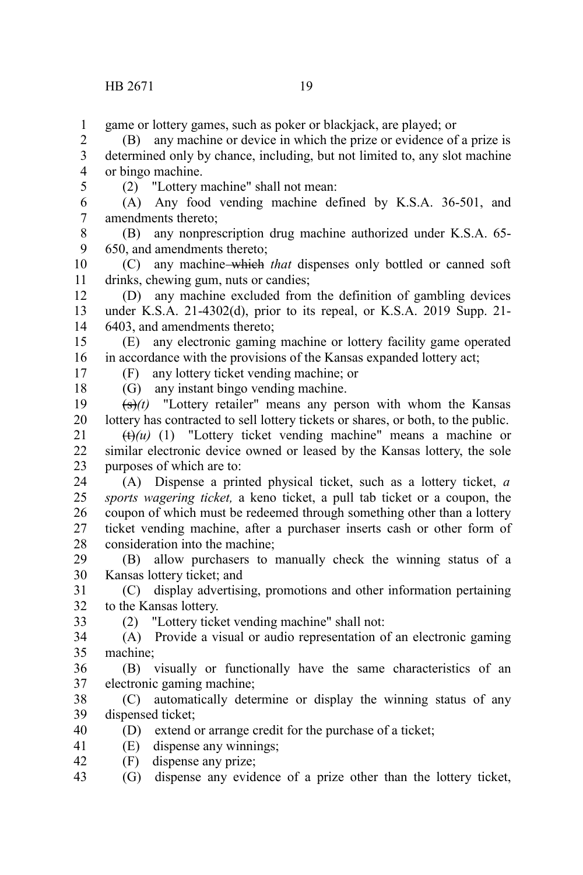game or lottery games, such as poker or blackjack, are played; or 1

(B) any machine or device in which the prize or evidence of a prize is determined only by chance, including, but not limited to, any slot machine or bingo machine. 2 3 4

5

(2) "Lottery machine" shall not mean:

(A) Any food vending machine defined by K.S.A. 36-501, and amendments thereto; 6 7

(B) any nonprescription drug machine authorized under K.S.A. 65- 650, and amendments thereto; 8 9

(C) any machine which *that* dispenses only bottled or canned soft drinks, chewing gum, nuts or candies; 10 11

(D) any machine excluded from the definition of gambling devices under K.S.A. 21-4302(d), prior to its repeal, or K.S.A. 2019 Supp. 21- 6403, and amendments thereto; 12 13 14

(E) any electronic gaming machine or lottery facility game operated in accordance with the provisions of the Kansas expanded lottery act; 15 16

(F) any lottery ticket vending machine; or (G) any instant bingo vending machine.

17 18

 $(\frac{1}{3})(t)$  "Lottery retailer" means any person with whom the Kansas lottery has contracted to sell lottery tickets or shares, or both, to the public. 19 20

 $(t)$ (u) (1) "Lottery ticket vending machine" means a machine or similar electronic device owned or leased by the Kansas lottery, the sole purposes of which are to: 21 22 23

(A) Dispense a printed physical ticket, such as a lottery ticket, *a sports wagering ticket,* a keno ticket, a pull tab ticket or a coupon, the coupon of which must be redeemed through something other than a lottery ticket vending machine, after a purchaser inserts cash or other form of consideration into the machine; 24 25 26 27 28

(B) allow purchasers to manually check the winning status of a Kansas lottery ticket; and 29 30

(C) display advertising, promotions and other information pertaining to the Kansas lottery. 31 32

33

(2) "Lottery ticket vending machine" shall not:

(A) Provide a visual or audio representation of an electronic gaming machine; 34 35

(B) visually or functionally have the same characteristics of an electronic gaming machine; 36 37

(C) automatically determine or display the winning status of any dispensed ticket; 38 39

(D) extend or arrange credit for the purchase of a ticket; 40

- (E) dispense any winnings; 41
- (F) dispense any prize; 42

(G) dispense any evidence of a prize other than the lottery ticket, 43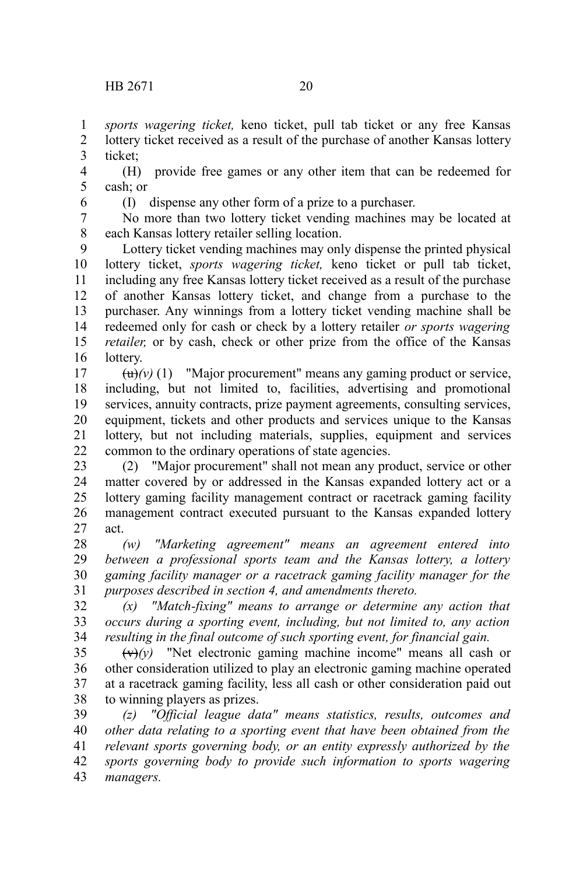*sports wagering ticket,* keno ticket, pull tab ticket or any free Kansas lottery ticket received as a result of the purchase of another Kansas lottery 1 2

ticket; 3

(H) provide free games or any other item that can be redeemed for cash; or 4 5

6

(I) dispense any other form of a prize to a purchaser.

No more than two lottery ticket vending machines may be located at each Kansas lottery retailer selling location. 7 8

Lottery ticket vending machines may only dispense the printed physical lottery ticket, *sports wagering ticket,* keno ticket or pull tab ticket, including any free Kansas lottery ticket received as a result of the purchase of another Kansas lottery ticket, and change from a purchase to the purchaser. Any winnings from a lottery ticket vending machine shall be redeemed only for cash or check by a lottery retailer *or sports wagering retailer,* or by cash, check or other prize from the office of the Kansas lottery. 9 10 11 12 13 14 15 16

 $\left(\frac{u}{v}\right)(v)$  (1) "Major procurement" means any gaming product or service, including, but not limited to, facilities, advertising and promotional services, annuity contracts, prize payment agreements, consulting services, equipment, tickets and other products and services unique to the Kansas lottery, but not including materials, supplies, equipment and services common to the ordinary operations of state agencies. 17 18 19 20 21 22

(2) "Major procurement" shall not mean any product, service or other matter covered by or addressed in the Kansas expanded lottery act or a lottery gaming facility management contract or racetrack gaming facility management contract executed pursuant to the Kansas expanded lottery act. 23 24 25 26 27

*(w) "Marketing agreement" means an agreement entered into between a professional sports team and the Kansas lottery, a lottery gaming facility manager or a racetrack gaming facility manager for the purposes described in section 4, and amendments thereto.* 28 29 30 31

*(x) "Match-fixing" means to arrange or determine any action that occurs during a sporting event, including, but not limited to, any action resulting in the final outcome of such sporting event, for financial gain.* 32 33 34

 $(v)(y)$  "Net electronic gaming machine income" means all cash or other consideration utilized to play an electronic gaming machine operated at a racetrack gaming facility, less all cash or other consideration paid out to winning players as prizes. 35 36 37 38

*(z) "Official league data" means statistics, results, outcomes and other data relating to a sporting event that have been obtained from the relevant sports governing body, or an entity expressly authorized by the sports governing body to provide such information to sports wagering managers.* 39 40 41 42 43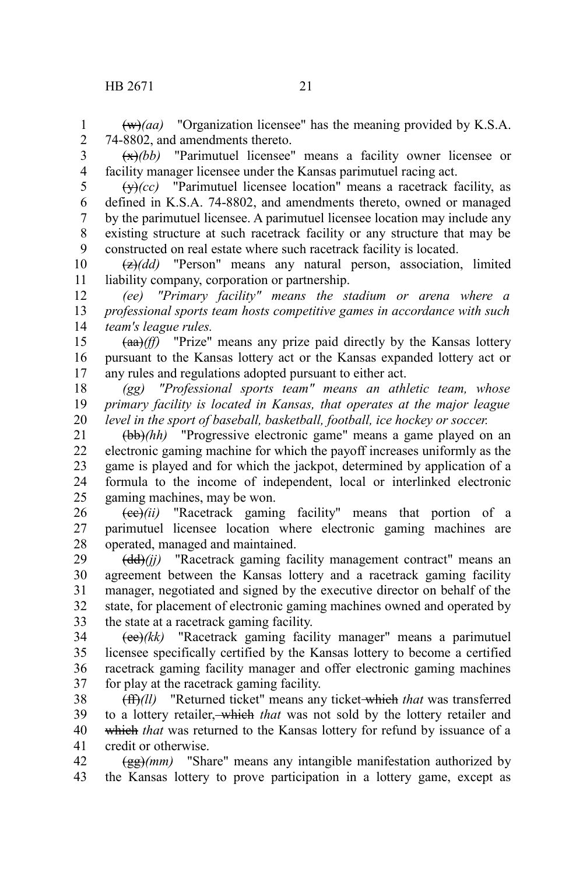(w)*(aa)* "Organization licensee" has the meaning provided by K.S.A. 74-8802, and amendments thereto.

2 3 4

1

(x)*(bb)* "Parimutuel licensee" means a facility owner licensee or facility manager licensee under the Kansas parimutuel racing act.

 $\overline{(y)}(cc)$  "Parimutuel licensee location" means a racetrack facility, as defined in K.S.A. 74-8802, and amendments thereto, owned or managed by the parimutuel licensee. A parimutuel licensee location may include any existing structure at such racetrack facility or any structure that may be constructed on real estate where such racetrack facility is located. 5 6 7 8 9

(z)*(dd)* "Person" means any natural person, association, limited liability company, corporation or partnership. 10 11

*(ee) "Primary facility" means the stadium or arena where a professional sports team hosts competitive games in accordance with such team's league rules.* 12 13 14

(aa)*(ff)* "Prize" means any prize paid directly by the Kansas lottery pursuant to the Kansas lottery act or the Kansas expanded lottery act or any rules and regulations adopted pursuant to either act. 15 16 17

*(gg) "Professional sports team" means an athletic team, whose primary facility is located in Kansas, that operates at the major league level in the sport of baseball, basketball, football, ice hockey or soccer.* 18 19 20

(bb)*(hh)* "Progressive electronic game" means a game played on an electronic gaming machine for which the payoff increases uniformly as the game is played and for which the jackpot, determined by application of a formula to the income of independent, local or interlinked electronic gaming machines, may be won. 21 22 23 24 25

(cc)*(ii)* "Racetrack gaming facility" means that portion of a parimutuel licensee location where electronic gaming machines are operated, managed and maintained. 26 27 28

(dd)*(jj)* "Racetrack gaming facility management contract" means an agreement between the Kansas lottery and a racetrack gaming facility manager, negotiated and signed by the executive director on behalf of the state, for placement of electronic gaming machines owned and operated by the state at a racetrack gaming facility. 29 30 31 32 33

(ee)*(kk)* "Racetrack gaming facility manager" means a parimutuel licensee specifically certified by the Kansas lottery to become a certified racetrack gaming facility manager and offer electronic gaming machines for play at the racetrack gaming facility. 34 35 36 37

(ff)*(ll)* "Returned ticket" means any ticket which *that* was transferred to a lottery retailer, which *that* was not sold by the lottery retailer and which *that* was returned to the Kansas lottery for refund by issuance of a credit or otherwise. 38 39 40 41

(gg)*(mm)* "Share" means any intangible manifestation authorized by the Kansas lottery to prove participation in a lottery game, except as 42 43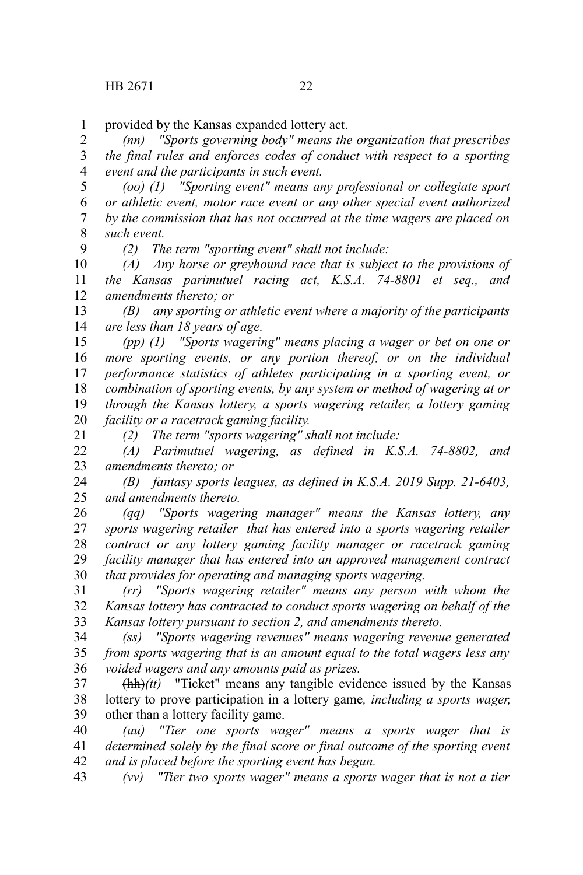9

21

provided by the Kansas expanded lottery act. 1

*(nn) "Sports governing body" means the organization that prescribes the final rules and enforces codes of conduct with respect to a sporting event and the participants in such event.* 2 3 4

*(oo) (1) "Sporting event" means any professional or collegiate sport or athletic event, motor race event or any other special event authorized by the commission that has not occurred at the time wagers are placed on such event.* 5 6 7 8

*(2) The term "sporting event" shall not include:*

*(A) Any horse or greyhound race that is subject to the provisions of the Kansas parimutuel racing act, K.S.A. 74-8801 et seq., and amendments thereto; or* 10 11 12

*(B) any sporting or athletic event where a majority of the participants are less than 18 years of age.* 13 14

*(pp) (1) "Sports wagering" means placing a wager or bet on one or more sporting events, or any portion thereof, or on the individual performance statistics of athletes participating in a sporting event, or combination of sporting events, by any system or method of wagering at or through the Kansas lottery, a sports wagering retailer, a lottery gaming facility or a racetrack gaming facility.* 15 16 17 18 19 20

*(2) The term "sports wagering" shall not include:*

*(A) Parimutuel wagering, as defined in K.S.A. 74-8802, and amendments thereto; or* 22 23

*(B) fantasy sports leagues, as defined in K.S.A. 2019 Supp. 21-6403, and amendments thereto.* 24 25

*(qq) "Sports wagering manager" means the Kansas lottery, any sports wagering retailer that has entered into a sports wagering retailer contract or any lottery gaming facility manager or racetrack gaming facility manager that has entered into an approved management contract that provides for operating and managing sports wagering.* 26 27 28 29 30

*(rr) "Sports wagering retailer" means any person with whom the Kansas lottery has contracted to conduct sports wagering on behalf of the Kansas lottery pursuant to section 2, and amendments thereto.* 31 32 33

*(ss) "Sports wagering revenues" means wagering revenue generated from sports wagering that is an amount equal to the total wagers less any voided wagers and any amounts paid as prizes.* 34 35 36

(hh)*(tt)* "Ticket" means any tangible evidence issued by the Kansas lottery to prove participation in a lottery game*, including a sports wager,* other than a lottery facility game. 37 38 39

*(uu) "Tier one sports wager" means a sports wager that is determined solely by the final score or final outcome of the sporting event and is placed before the sporting event has begun.* 40 41 42

*(vv) "Tier two sports wager" means a sports wager that is not a tier* 43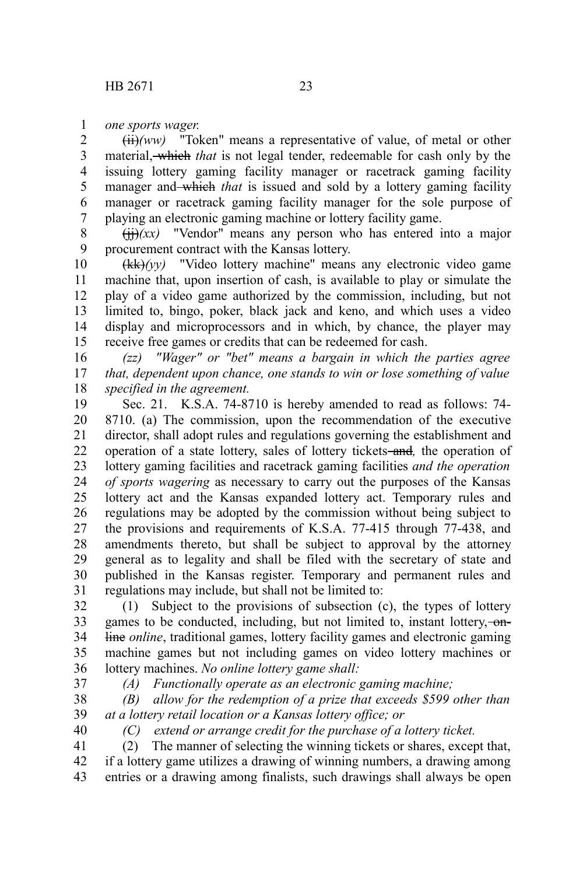*one sports wager.* 1

(ii)*(ww)* "Token" means a representative of value, of metal or other material, which *that* is not legal tender, redeemable for cash only by the issuing lottery gaming facility manager or racetrack gaming facility manager and which *that* is issued and sold by a lottery gaming facility manager or racetrack gaming facility manager for the sole purpose of playing an electronic gaming machine or lottery facility game. 2 3 4 5 6 7

 $(ii)/xx$ ) "Vendor" means any person who has entered into a major procurement contract with the Kansas lottery. 8 9

(kk)*(yy)* "Video lottery machine" means any electronic video game machine that, upon insertion of cash, is available to play or simulate the play of a video game authorized by the commission, including, but not limited to, bingo, poker, black jack and keno, and which uses a video display and microprocessors and in which, by chance, the player may receive free games or credits that can be redeemed for cash. 10 11 12 13 14 15

*(zz) "Wager" or "bet" means a bargain in which the parties agree that, dependent upon chance, one stands to win or lose something of value specified in the agreement.* 16 17 18

Sec. 21. K.S.A. 74-8710 is hereby amended to read as follows: 74- 8710. (a) The commission, upon the recommendation of the executive director, shall adopt rules and regulations governing the establishment and operation of a state lottery, sales of lottery tickets-and, the operation of lottery gaming facilities and racetrack gaming facilities *and the operation of sports wagering* as necessary to carry out the purposes of the Kansas lottery act and the Kansas expanded lottery act. Temporary rules and regulations may be adopted by the commission without being subject to the provisions and requirements of K.S.A. 77-415 through 77-438, and amendments thereto, but shall be subject to approval by the attorney general as to legality and shall be filed with the secretary of state and published in the Kansas register. Temporary and permanent rules and regulations may include, but shall not be limited to: 19 20 21 22 23 24 25 26 27 28 29 30 31

(1) Subject to the provisions of subsection (c), the types of lottery games to be conducted, including, but not limited to, instant lottery,  $\overline{\phantom{a}}$ line *online*, traditional games, lottery facility games and electronic gaming machine games but not including games on video lottery machines or lottery machines. *No online lottery game shall:* 32 33 34 35 36

37

*(A) Functionally operate as an electronic gaming machine;*

*(B) allow for the redemption of a prize that exceeds \$599 other than at a lottery retail location or a Kansas lottery office; or* 38 39 40

*(C) extend or arrange credit for the purchase of a lottery ticket.*

(2) The manner of selecting the winning tickets or shares, except that, if a lottery game utilizes a drawing of winning numbers, a drawing among entries or a drawing among finalists, such drawings shall always be open 41 42 43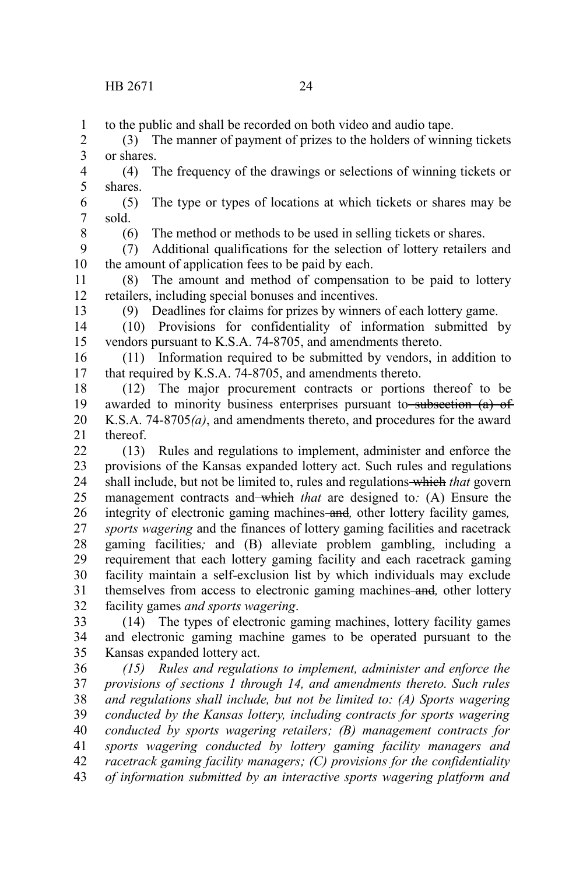to the public and shall be recorded on both video and audio tape. 1

(3) The manner of payment of prizes to the holders of winning tickets or shares. 2 3

(4) The frequency of the drawings or selections of winning tickets or shares. 4 5

(5) The type or types of locations at which tickets or shares may be sold. 6 7

8

(6) The method or methods to be used in selling tickets or shares.

(7) Additional qualifications for the selection of lottery retailers and the amount of application fees to be paid by each. 9 10

(8) The amount and method of compensation to be paid to lottery retailers, including special bonuses and incentives. 11 12

13

(9) Deadlines for claims for prizes by winners of each lottery game.

(10) Provisions for confidentiality of information submitted by vendors pursuant to K.S.A. 74-8705, and amendments thereto. 14 15

(11) Information required to be submitted by vendors, in addition to that required by K.S.A. 74-8705, and amendments thereto. 16 17

(12) The major procurement contracts or portions thereof to be awarded to minority business enterprises pursuant to subsection (a) of K.S.A. 74-8705*(a)*, and amendments thereto, and procedures for the award thereof. 18 19 20 21

(13) Rules and regulations to implement, administer and enforce the provisions of the Kansas expanded lottery act. Such rules and regulations shall include, but not be limited to, rules and regulations which *that* govern management contracts and which *that* are designed to: (A) Ensure the integrity of electronic gaming machines and*,* other lottery facility games*, sports wagering* and the finances of lottery gaming facilities and racetrack gaming facilities*;* and (B) alleviate problem gambling, including a requirement that each lottery gaming facility and each racetrack gaming facility maintain a self-exclusion list by which individuals may exclude themselves from access to electronic gaming machines and*,* other lottery facility games *and sports wagering*. 22 23 24 25 26 27 28 29 30 31 32

(14) The types of electronic gaming machines, lottery facility games and electronic gaming machine games to be operated pursuant to the Kansas expanded lottery act. 33 34 35

*(15) Rules and regulations to implement, administer and enforce the provisions of sections 1 through 14, and amendments thereto. Such rules and regulations shall include, but not be limited to: (A) Sports wagering conducted by the Kansas lottery, including contracts for sports wagering conducted by sports wagering retailers; (B) management contracts for sports wagering conducted by lottery gaming facility managers and racetrack gaming facility managers; (C) provisions for the confidentiality of information submitted by an interactive sports wagering platform and* 36 37 38 39 40 41 42 43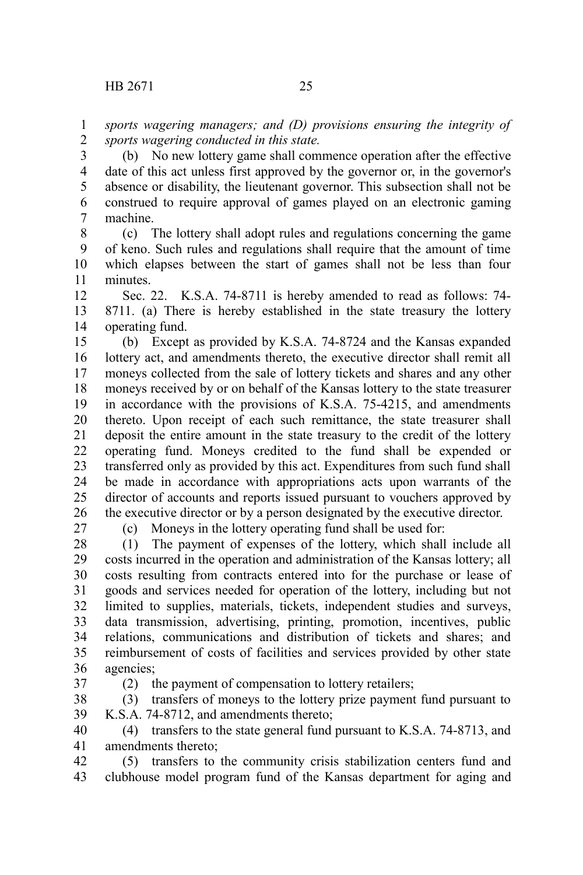*sports wagering managers; and (D) provisions ensuring the integrity of sports wagering conducted in this state.* 1 2

(b) No new lottery game shall commence operation after the effective date of this act unless first approved by the governor or, in the governor's absence or disability, the lieutenant governor. This subsection shall not be construed to require approval of games played on an electronic gaming machine. 3 4 5 6 7

(c) The lottery shall adopt rules and regulations concerning the game of keno. Such rules and regulations shall require that the amount of time which elapses between the start of games shall not be less than four minutes. 8 9 10 11

Sec. 22. K.S.A. 74-8711 is hereby amended to read as follows: 74- 8711. (a) There is hereby established in the state treasury the lottery operating fund. 12 13 14

(b) Except as provided by K.S.A. 74-8724 and the Kansas expanded lottery act, and amendments thereto, the executive director shall remit all moneys collected from the sale of lottery tickets and shares and any other moneys received by or on behalf of the Kansas lottery to the state treasurer in accordance with the provisions of K.S.A. 75-4215, and amendments thereto. Upon receipt of each such remittance, the state treasurer shall deposit the entire amount in the state treasury to the credit of the lottery operating fund. Moneys credited to the fund shall be expended or transferred only as provided by this act. Expenditures from such fund shall be made in accordance with appropriations acts upon warrants of the director of accounts and reports issued pursuant to vouchers approved by the executive director or by a person designated by the executive director. 15 16 17 18 19 20 21 22 23 24 25 26

27

(c) Moneys in the lottery operating fund shall be used for:

(1) The payment of expenses of the lottery, which shall include all costs incurred in the operation and administration of the Kansas lottery; all costs resulting from contracts entered into for the purchase or lease of goods and services needed for operation of the lottery, including but not limited to supplies, materials, tickets, independent studies and surveys, data transmission, advertising, printing, promotion, incentives, public relations, communications and distribution of tickets and shares; and reimbursement of costs of facilities and services provided by other state agencies; 28 29 30 31 32 33 34 35 36

37

(2) the payment of compensation to lottery retailers;

(3) transfers of moneys to the lottery prize payment fund pursuant to K.S.A. 74-8712, and amendments thereto; 38 39

(4) transfers to the state general fund pursuant to K.S.A. 74-8713, and amendments thereto; 40 41

(5) transfers to the community crisis stabilization centers fund and clubhouse model program fund of the Kansas department for aging and 42 43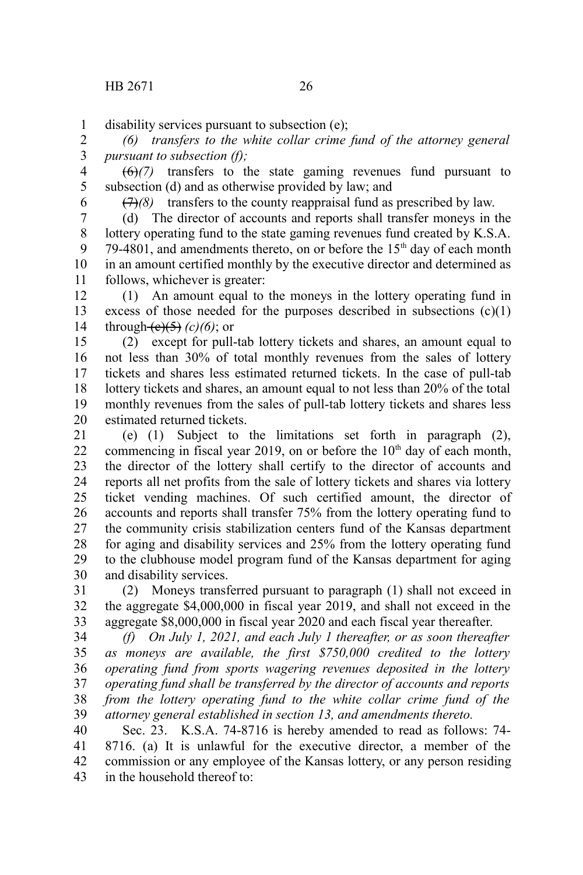disability services pursuant to subsection (e); 1

*(6) transfers to the white collar crime fund of the attorney general pursuant to subsection (f);* 2 3

(6)*(7)* transfers to the state gaming revenues fund pursuant to subsection (d) and as otherwise provided by law; and 4 5

6

(7)*(8)* transfers to the county reappraisal fund as prescribed by law.

(d) The director of accounts and reports shall transfer moneys in the lottery operating fund to the state gaming revenues fund created by K.S.A. 79-4801, and amendments thereto, on or before the  $15<sup>th</sup>$  day of each month in an amount certified monthly by the executive director and determined as follows, whichever is greater: 7 8 9 10 11

(1) An amount equal to the moneys in the lottery operating fund in excess of those needed for the purposes described in subsections  $(c)(1)$ through  $(e)(5)$  (c)(6); or 12 13 14

(2) except for pull-tab lottery tickets and shares, an amount equal to not less than 30% of total monthly revenues from the sales of lottery tickets and shares less estimated returned tickets. In the case of pull-tab lottery tickets and shares, an amount equal to not less than 20% of the total monthly revenues from the sales of pull-tab lottery tickets and shares less estimated returned tickets. 15 16 17 18 19 20

(e) (1) Subject to the limitations set forth in paragraph (2), commencing in fiscal year 2019, on or before the  $10<sup>th</sup>$  day of each month, the director of the lottery shall certify to the director of accounts and reports all net profits from the sale of lottery tickets and shares via lottery ticket vending machines. Of such certified amount, the director of accounts and reports shall transfer 75% from the lottery operating fund to the community crisis stabilization centers fund of the Kansas department for aging and disability services and 25% from the lottery operating fund to the clubhouse model program fund of the Kansas department for aging and disability services. 21 22 23 24 25 26 27 28 29 30

(2) Moneys transferred pursuant to paragraph (1) shall not exceed in the aggregate \$4,000,000 in fiscal year 2019, and shall not exceed in the aggregate \$8,000,000 in fiscal year 2020 and each fiscal year thereafter. 31 32 33

*(f) On July 1, 2021, and each July 1 thereafter, or as soon thereafter as moneys are available, the first \$750,000 credited to the lottery operating fund from sports wagering revenues deposited in the lottery operating fund shall be transferred by the director of accounts and reports from the lottery operating fund to the white collar crime fund of the attorney general established in section 13, and amendments thereto.* 34 35 36 37 38 39

Sec. 23. K.S.A. 74-8716 is hereby amended to read as follows: 74- 8716. (a) It is unlawful for the executive director, a member of the commission or any employee of the Kansas lottery, or any person residing in the household thereof to: 40 41 42 43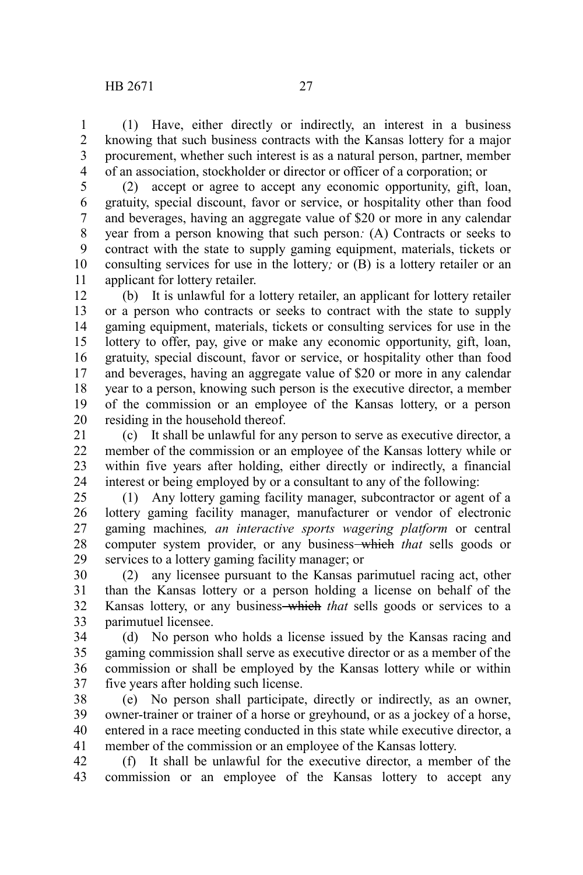(1) Have, either directly or indirectly, an interest in a business knowing that such business contracts with the Kansas lottery for a major procurement, whether such interest is as a natural person, partner, member of an association, stockholder or director or officer of a corporation; or 1 2 3 4

(2) accept or agree to accept any economic opportunity, gift, loan, gratuity, special discount, favor or service, or hospitality other than food and beverages, having an aggregate value of \$20 or more in any calendar year from a person knowing that such person*:* (A) Contracts or seeks to contract with the state to supply gaming equipment, materials, tickets or consulting services for use in the lottery*;* or (B) is a lottery retailer or an applicant for lottery retailer. 5 6 7 8 9 10 11

(b) It is unlawful for a lottery retailer, an applicant for lottery retailer or a person who contracts or seeks to contract with the state to supply gaming equipment, materials, tickets or consulting services for use in the lottery to offer, pay, give or make any economic opportunity, gift, loan, gratuity, special discount, favor or service, or hospitality other than food and beverages, having an aggregate value of \$20 or more in any calendar year to a person, knowing such person is the executive director, a member of the commission or an employee of the Kansas lottery, or a person residing in the household thereof. 12 13 14 15 16 17 18 19 20

(c) It shall be unlawful for any person to serve as executive director, a member of the commission or an employee of the Kansas lottery while or within five years after holding, either directly or indirectly, a financial interest or being employed by or a consultant to any of the following: 21 22 23 24

(1) Any lottery gaming facility manager, subcontractor or agent of a lottery gaming facility manager, manufacturer or vendor of electronic gaming machines*, an interactive sports wagering platform* or central computer system provider, or any business which *that* sells goods or services to a lottery gaming facility manager; or 25 26 27 28 29

(2) any licensee pursuant to the Kansas parimutuel racing act, other than the Kansas lottery or a person holding a license on behalf of the Kansas lottery, or any business-which *that* sells goods or services to a parimutuel licensee. 30 31 32 33

(d) No person who holds a license issued by the Kansas racing and gaming commission shall serve as executive director or as a member of the commission or shall be employed by the Kansas lottery while or within five years after holding such license. 34 35 36 37

(e) No person shall participate, directly or indirectly, as an owner, owner-trainer or trainer of a horse or greyhound, or as a jockey of a horse, entered in a race meeting conducted in this state while executive director, a member of the commission or an employee of the Kansas lottery. 38 39 40 41

(f) It shall be unlawful for the executive director, a member of the commission or an employee of the Kansas lottery to accept any 42 43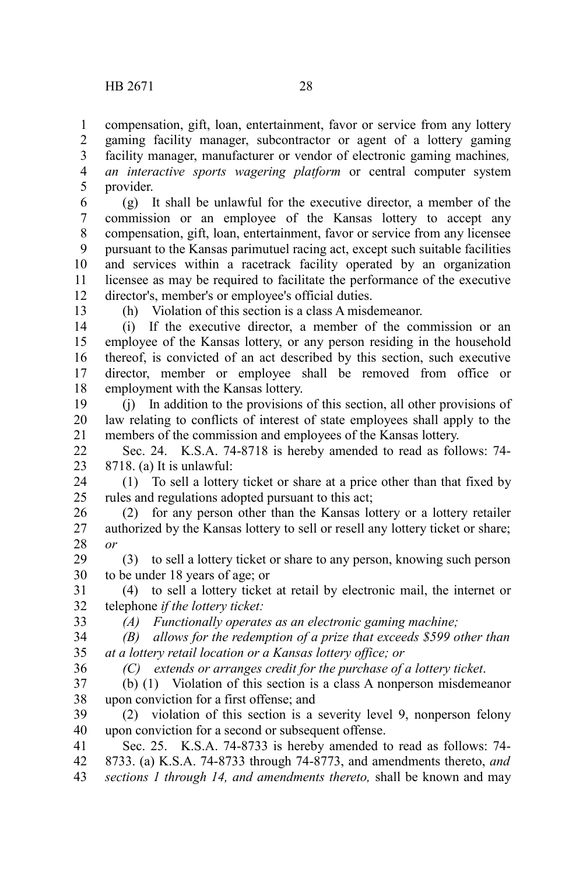compensation, gift, loan, entertainment, favor or service from any lottery gaming facility manager, subcontractor or agent of a lottery gaming facility manager, manufacturer or vendor of electronic gaming machines*, an interactive sports wagering platform* or central computer system provider. 1 2 3 4 5

(g) It shall be unlawful for the executive director, a member of the commission or an employee of the Kansas lottery to accept any compensation, gift, loan, entertainment, favor or service from any licensee pursuant to the Kansas parimutuel racing act, except such suitable facilities and services within a racetrack facility operated by an organization licensee as may be required to facilitate the performance of the executive director's, member's or employee's official duties. 6 7 8 9 10 11 12

13

(h) Violation of this section is a class A misdemeanor.

(i) If the executive director, a member of the commission or an employee of the Kansas lottery, or any person residing in the household thereof, is convicted of an act described by this section, such executive director, member or employee shall be removed from office or employment with the Kansas lottery. 14 15 16 17 18

(j) In addition to the provisions of this section, all other provisions of law relating to conflicts of interest of state employees shall apply to the members of the commission and employees of the Kansas lottery. 19 20 21

Sec. 24. K.S.A. 74-8718 is hereby amended to read as follows: 74- 8718. (a) It is unlawful: 22 23

(1) To sell a lottery ticket or share at a price other than that fixed by rules and regulations adopted pursuant to this act; 24 25

(2) for any person other than the Kansas lottery or a lottery retailer authorized by the Kansas lottery to sell or resell any lottery ticket or share; *or* 26 27 28

(3) to sell a lottery ticket or share to any person, knowing such person to be under 18 years of age; or 29 30

(4) to sell a lottery ticket at retail by electronic mail, the internet or telephone *if the lottery ticket:* 31 32

33

*(A) Functionally operates as an electronic gaming machine;*

*(B) allows for the redemption of a prize that exceeds \$599 other than at a lottery retail location or a Kansas lottery office; or* 34 35

*(C) extends or arranges credit for the purchase of a lottery ticket*. 36

(b) (1) Violation of this section is a class A nonperson misdemeanor upon conviction for a first offense; and 37 38

(2) violation of this section is a severity level 9, nonperson felony upon conviction for a second or subsequent offense. 39 40

Sec. 25. K.S.A. 74-8733 is hereby amended to read as follows: 74- 8733. (a) K.S.A. 74-8733 through 74-8773, and amendments thereto, *and sections 1 through 14, and amendments thereto,* shall be known and may 41 42 43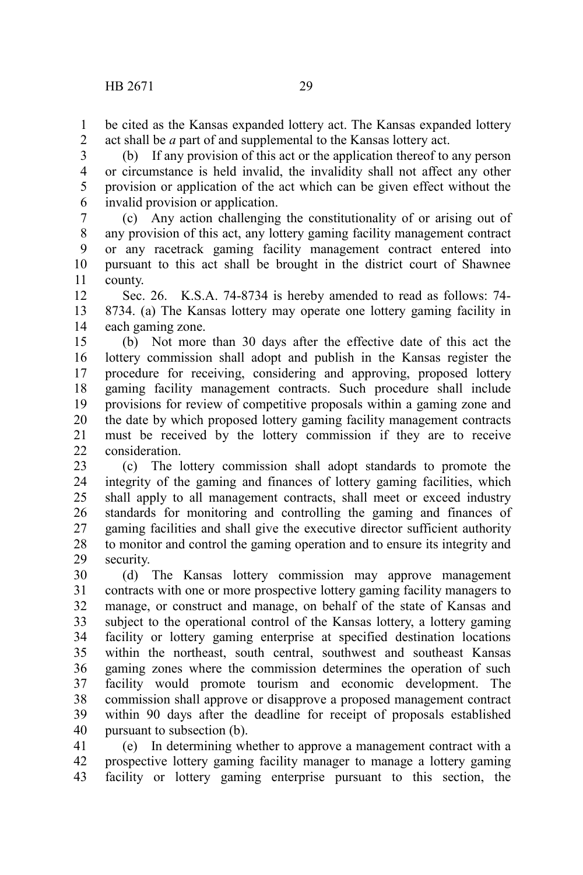be cited as the Kansas expanded lottery act. The Kansas expanded lottery act shall be *a* part of and supplemental to the Kansas lottery act. 1 2

(b) If any provision of this act or the application thereof to any person or circumstance is held invalid, the invalidity shall not affect any other provision or application of the act which can be given effect without the invalid provision or application. 3 4 5 6

(c) Any action challenging the constitutionality of or arising out of any provision of this act, any lottery gaming facility management contract or any racetrack gaming facility management contract entered into pursuant to this act shall be brought in the district court of Shawnee county. 7 8 9 10 11

Sec. 26. K.S.A. 74-8734 is hereby amended to read as follows: 74- 8734. (a) The Kansas lottery may operate one lottery gaming facility in each gaming zone. 12 13 14

(b) Not more than 30 days after the effective date of this act the lottery commission shall adopt and publish in the Kansas register the procedure for receiving, considering and approving, proposed lottery gaming facility management contracts. Such procedure shall include provisions for review of competitive proposals within a gaming zone and the date by which proposed lottery gaming facility management contracts must be received by the lottery commission if they are to receive consideration. 15 16 17 18 19 20 21  $22$ 

(c) The lottery commission shall adopt standards to promote the integrity of the gaming and finances of lottery gaming facilities, which shall apply to all management contracts, shall meet or exceed industry standards for monitoring and controlling the gaming and finances of gaming facilities and shall give the executive director sufficient authority to monitor and control the gaming operation and to ensure its integrity and security. 23 24 25 26 27 28 29

(d) The Kansas lottery commission may approve management contracts with one or more prospective lottery gaming facility managers to manage, or construct and manage, on behalf of the state of Kansas and subject to the operational control of the Kansas lottery, a lottery gaming facility or lottery gaming enterprise at specified destination locations within the northeast, south central, southwest and southeast Kansas gaming zones where the commission determines the operation of such facility would promote tourism and economic development. The commission shall approve or disapprove a proposed management contract within 90 days after the deadline for receipt of proposals established pursuant to subsection (b). 30 31 32 33 34 35 36 37 38 39 40

(e) In determining whether to approve a management contract with a prospective lottery gaming facility manager to manage a lottery gaming facility or lottery gaming enterprise pursuant to this section, the 41 42 43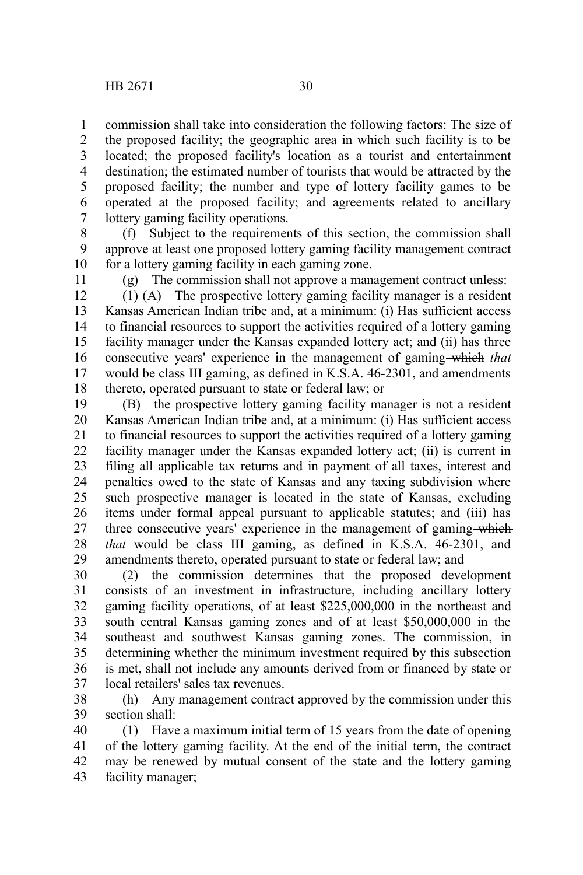commission shall take into consideration the following factors: The size of the proposed facility; the geographic area in which such facility is to be located; the proposed facility's location as a tourist and entertainment destination; the estimated number of tourists that would be attracted by the proposed facility; the number and type of lottery facility games to be operated at the proposed facility; and agreements related to ancillary lottery gaming facility operations. 1 2 3 4 5 6 7

(f) Subject to the requirements of this section, the commission shall approve at least one proposed lottery gaming facility management contract for a lottery gaming facility in each gaming zone. 8 9 10

11

(g) The commission shall not approve a management contract unless:

(1) (A) The prospective lottery gaming facility manager is a resident Kansas American Indian tribe and, at a minimum: (i) Has sufficient access to financial resources to support the activities required of a lottery gaming facility manager under the Kansas expanded lottery act; and (ii) has three consecutive years' experience in the management of gaming which *that* would be class III gaming, as defined in K.S.A. 46-2301, and amendments thereto, operated pursuant to state or federal law; or 12 13 14 15 16 17 18

(B) the prospective lottery gaming facility manager is not a resident Kansas American Indian tribe and, at a minimum: (i) Has sufficient access to financial resources to support the activities required of a lottery gaming facility manager under the Kansas expanded lottery act; (ii) is current in filing all applicable tax returns and in payment of all taxes, interest and penalties owed to the state of Kansas and any taxing subdivision where such prospective manager is located in the state of Kansas, excluding items under formal appeal pursuant to applicable statutes; and (iii) has three consecutive years' experience in the management of gaming which *that* would be class III gaming, as defined in K.S.A. 46-2301, and amendments thereto, operated pursuant to state or federal law; and 19 20 21 22 23 24 25 26 27 28 29

(2) the commission determines that the proposed development consists of an investment in infrastructure, including ancillary lottery gaming facility operations, of at least \$225,000,000 in the northeast and south central Kansas gaming zones and of at least \$50,000,000 in the southeast and southwest Kansas gaming zones. The commission, in determining whether the minimum investment required by this subsection is met, shall not include any amounts derived from or financed by state or local retailers' sales tax revenues. 30 31 32 33 34 35 36 37

(h) Any management contract approved by the commission under this section shall: 38 39

(1) Have a maximum initial term of 15 years from the date of opening of the lottery gaming facility. At the end of the initial term, the contract may be renewed by mutual consent of the state and the lottery gaming facility manager; 40 41 42 43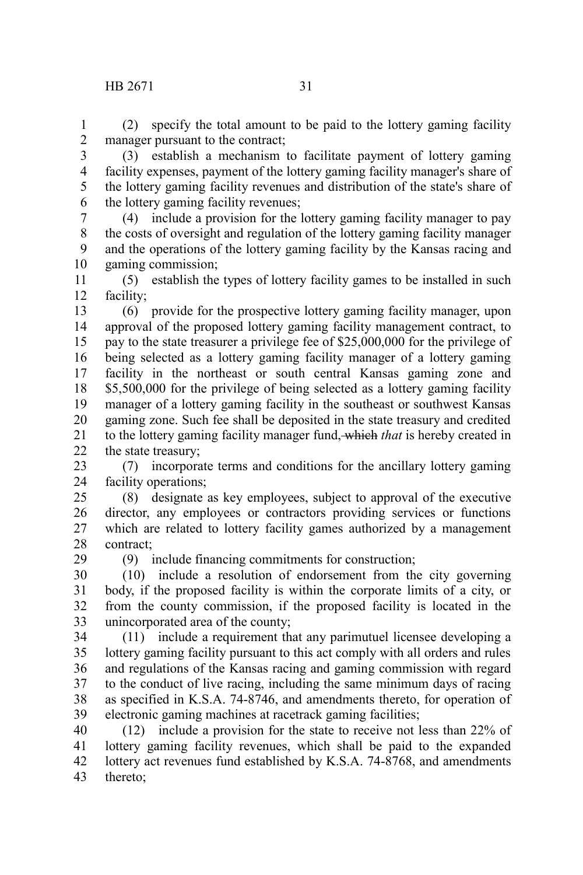## HB 2671 31

29

(2) specify the total amount to be paid to the lottery gaming facility manager pursuant to the contract; 1 2

(3) establish a mechanism to facilitate payment of lottery gaming facility expenses, payment of the lottery gaming facility manager's share of the lottery gaming facility revenues and distribution of the state's share of the lottery gaming facility revenues; 3 4 5 6

(4) include a provision for the lottery gaming facility manager to pay the costs of oversight and regulation of the lottery gaming facility manager and the operations of the lottery gaming facility by the Kansas racing and gaming commission; 7 8 9 10

(5) establish the types of lottery facility games to be installed in such facility; 11 12

(6) provide for the prospective lottery gaming facility manager, upon approval of the proposed lottery gaming facility management contract, to pay to the state treasurer a privilege fee of \$25,000,000 for the privilege of being selected as a lottery gaming facility manager of a lottery gaming facility in the northeast or south central Kansas gaming zone and \$5,500,000 for the privilege of being selected as a lottery gaming facility manager of a lottery gaming facility in the southeast or southwest Kansas gaming zone. Such fee shall be deposited in the state treasury and credited to the lottery gaming facility manager fund, which *that* is hereby created in the state treasury; 13 14 15 16 17 18 19 20 21 22

(7) incorporate terms and conditions for the ancillary lottery gaming facility operations; 23 24

(8) designate as key employees, subject to approval of the executive director, any employees or contractors providing services or functions which are related to lottery facility games authorized by a management contract; 25 26 27 28

(9) include financing commitments for construction;

(10) include a resolution of endorsement from the city governing body, if the proposed facility is within the corporate limits of a city, or from the county commission, if the proposed facility is located in the unincorporated area of the county; 30 31 32 33

(11) include a requirement that any parimutuel licensee developing a lottery gaming facility pursuant to this act comply with all orders and rules and regulations of the Kansas racing and gaming commission with regard to the conduct of live racing, including the same minimum days of racing as specified in K.S.A. 74-8746, and amendments thereto, for operation of electronic gaming machines at racetrack gaming facilities; 34 35 36 37 38 39

(12) include a provision for the state to receive not less than 22% of lottery gaming facility revenues, which shall be paid to the expanded lottery act revenues fund established by K.S.A. 74-8768, and amendments thereto; 40 41 42 43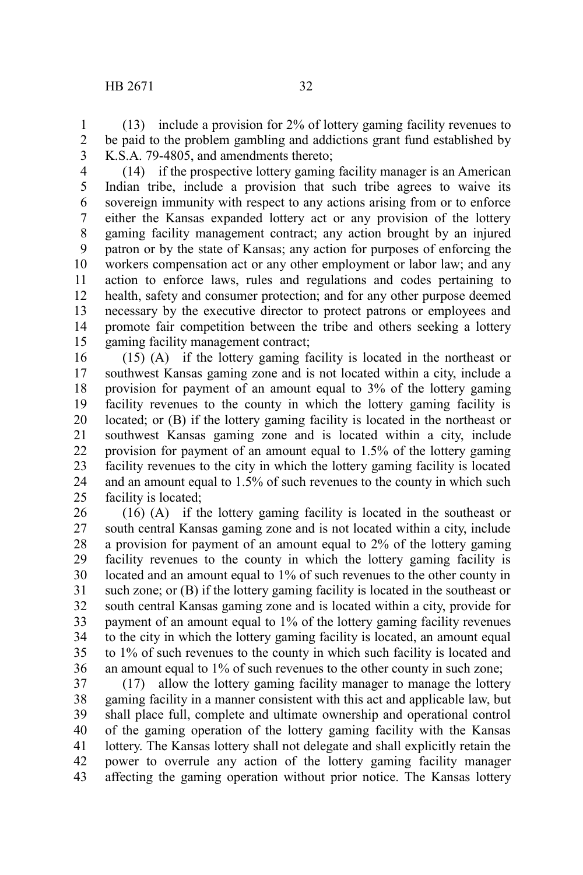(13) include a provision for 2% of lottery gaming facility revenues to be paid to the problem gambling and addictions grant fund established by K.S.A. 79-4805, and amendments thereto; 1 2 3

(14) if the prospective lottery gaming facility manager is an American Indian tribe, include a provision that such tribe agrees to waive its sovereign immunity with respect to any actions arising from or to enforce either the Kansas expanded lottery act or any provision of the lottery gaming facility management contract; any action brought by an injured patron or by the state of Kansas; any action for purposes of enforcing the workers compensation act or any other employment or labor law; and any action to enforce laws, rules and regulations and codes pertaining to health, safety and consumer protection; and for any other purpose deemed necessary by the executive director to protect patrons or employees and promote fair competition between the tribe and others seeking a lottery gaming facility management contract; 4 5 6 7 8 9 10 11 12 13 14 15

(15) (A) if the lottery gaming facility is located in the northeast or southwest Kansas gaming zone and is not located within a city, include a provision for payment of an amount equal to 3% of the lottery gaming facility revenues to the county in which the lottery gaming facility is located; or (B) if the lottery gaming facility is located in the northeast or southwest Kansas gaming zone and is located within a city, include provision for payment of an amount equal to 1.5% of the lottery gaming facility revenues to the city in which the lottery gaming facility is located and an amount equal to 1.5% of such revenues to the county in which such facility is located; 16 17 18 19 20 21 22 23 24 25

(16) (A) if the lottery gaming facility is located in the southeast or south central Kansas gaming zone and is not located within a city, include a provision for payment of an amount equal to 2% of the lottery gaming facility revenues to the county in which the lottery gaming facility is located and an amount equal to 1% of such revenues to the other county in such zone; or (B) if the lottery gaming facility is located in the southeast or south central Kansas gaming zone and is located within a city, provide for payment of an amount equal to 1% of the lottery gaming facility revenues to the city in which the lottery gaming facility is located, an amount equal to 1% of such revenues to the county in which such facility is located and an amount equal to 1% of such revenues to the other county in such zone; 26 27 28 29 30 31 32 33 34 35 36

(17) allow the lottery gaming facility manager to manage the lottery gaming facility in a manner consistent with this act and applicable law, but shall place full, complete and ultimate ownership and operational control of the gaming operation of the lottery gaming facility with the Kansas lottery. The Kansas lottery shall not delegate and shall explicitly retain the power to overrule any action of the lottery gaming facility manager affecting the gaming operation without prior notice. The Kansas lottery 37 38 39 40 41 42 43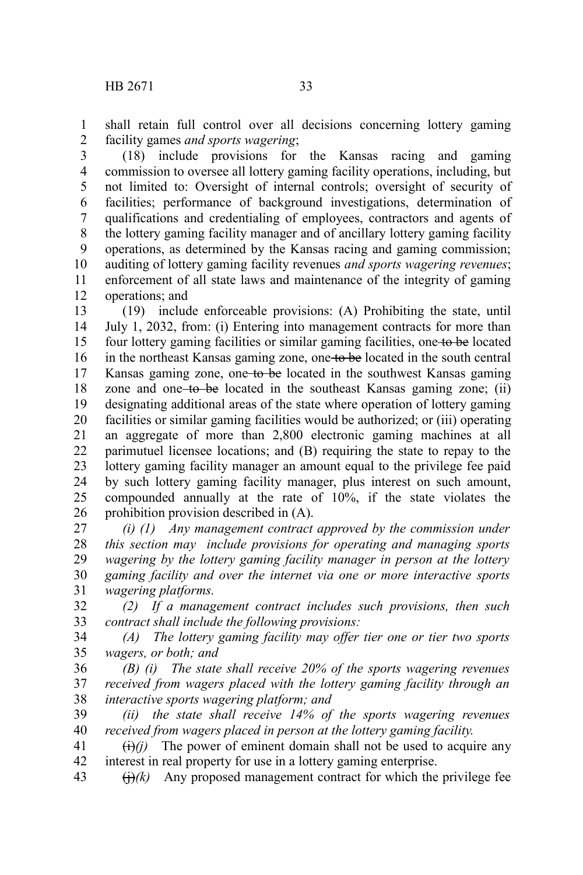shall retain full control over all decisions concerning lottery gaming facility games *and sports wagering*; 1 2

(18) include provisions for the Kansas racing and gaming commission to oversee all lottery gaming facility operations, including, but not limited to: Oversight of internal controls; oversight of security of facilities; performance of background investigations, determination of qualifications and credentialing of employees, contractors and agents of the lottery gaming facility manager and of ancillary lottery gaming facility operations, as determined by the Kansas racing and gaming commission; auditing of lottery gaming facility revenues *and sports wagering revenues*; enforcement of all state laws and maintenance of the integrity of gaming operations; and 3 4 5 6 7 8 9 10 11 12

(19) include enforceable provisions: (A) Prohibiting the state, until July 1, 2032, from: (i) Entering into management contracts for more than four lottery gaming facilities or similar gaming facilities, one to be located in the northeast Kansas gaming zone, one to be located in the south central Kansas gaming zone, one to be located in the southwest Kansas gaming zone and one to be located in the southeast Kansas gaming zone; (ii) designating additional areas of the state where operation of lottery gaming facilities or similar gaming facilities would be authorized; or (iii) operating an aggregate of more than 2,800 electronic gaming machines at all parimutuel licensee locations; and (B) requiring the state to repay to the lottery gaming facility manager an amount equal to the privilege fee paid by such lottery gaming facility manager, plus interest on such amount, compounded annually at the rate of 10%, if the state violates the prohibition provision described in (A). 13 14 15 16 17 18 19 20 21 22 23 24 25 26

*(i) (1) Any management contract approved by the commission under this section may include provisions for operating and managing sports wagering by the lottery gaming facility manager in person at the lottery gaming facility and over the internet via one or more interactive sports wagering platforms.* 27 28 29 30 31

*(2) If a management contract includes such provisions, then such contract shall include the following provisions:* 32 33

*(A) The lottery gaming facility may offer tier one or tier two sports wagers, or both; and* 34 35

*(B) (i) The state shall receive 20% of the sports wagering revenues received from wagers placed with the lottery gaming facility through an interactive sports wagering platform; and* 36 37 38

*(ii) the state shall receive 14% of the sports wagering revenues received from wagers placed in person at the lottery gaming facility.* 39 40

 $\overrightarrow{(i)}$ *(i)* The power of eminent domain shall not be used to acquire any interest in real property for use in a lottery gaming enterprise. 41 42

 $\Theta(k)$  Any proposed management contract for which the privilege fee 43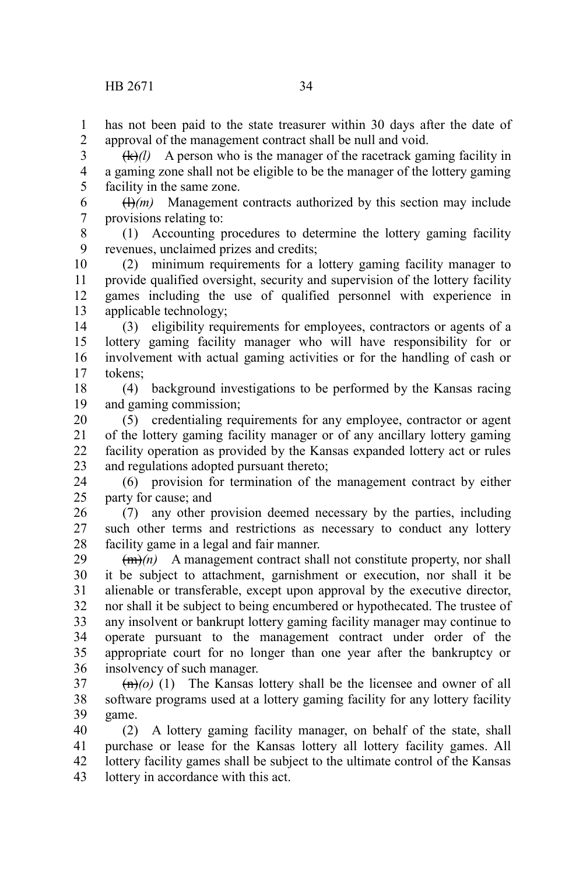has not been paid to the state treasurer within 30 days after the date of approval of the management contract shall be null and void. 1 2

 $(k)/l$  A person who is the manager of the racetrack gaming facility in a gaming zone shall not be eligible to be the manager of the lottery gaming facility in the same zone. 3 4 5

 $(H)(m)$  Management contracts authorized by this section may include provisions relating to: 6 7

(1) Accounting procedures to determine the lottery gaming facility revenues, unclaimed prizes and credits; 8 9

(2) minimum requirements for a lottery gaming facility manager to provide qualified oversight, security and supervision of the lottery facility games including the use of qualified personnel with experience in applicable technology; 10 11 12 13

(3) eligibility requirements for employees, contractors or agents of a lottery gaming facility manager who will have responsibility for or involvement with actual gaming activities or for the handling of cash or tokens; 14 15 16 17

(4) background investigations to be performed by the Kansas racing and gaming commission; 18 19

(5) credentialing requirements for any employee, contractor or agent of the lottery gaming facility manager or of any ancillary lottery gaming facility operation as provided by the Kansas expanded lottery act or rules and regulations adopted pursuant thereto; 20 21 22 23

(6) provision for termination of the management contract by either party for cause; and 24 25

(7) any other provision deemed necessary by the parties, including such other terms and restrictions as necessary to conduct any lottery facility game in a legal and fair manner. 26 27 28

 $(m)$  A management contract shall not constitute property, nor shall it be subject to attachment, garnishment or execution, nor shall it be alienable or transferable, except upon approval by the executive director, nor shall it be subject to being encumbered or hypothecated. The trustee of any insolvent or bankrupt lottery gaming facility manager may continue to operate pursuant to the management contract under order of the appropriate court for no longer than one year after the bankruptcy or insolvency of such manager. 29 30 31 32 33 34 35 36

 $\left(\frac{m}{o}\right)(1)$  The Kansas lottery shall be the licensee and owner of all software programs used at a lottery gaming facility for any lottery facility game. 37 38 39

(2) A lottery gaming facility manager, on behalf of the state, shall purchase or lease for the Kansas lottery all lottery facility games. All lottery facility games shall be subject to the ultimate control of the Kansas lottery in accordance with this act. 40 41 42 43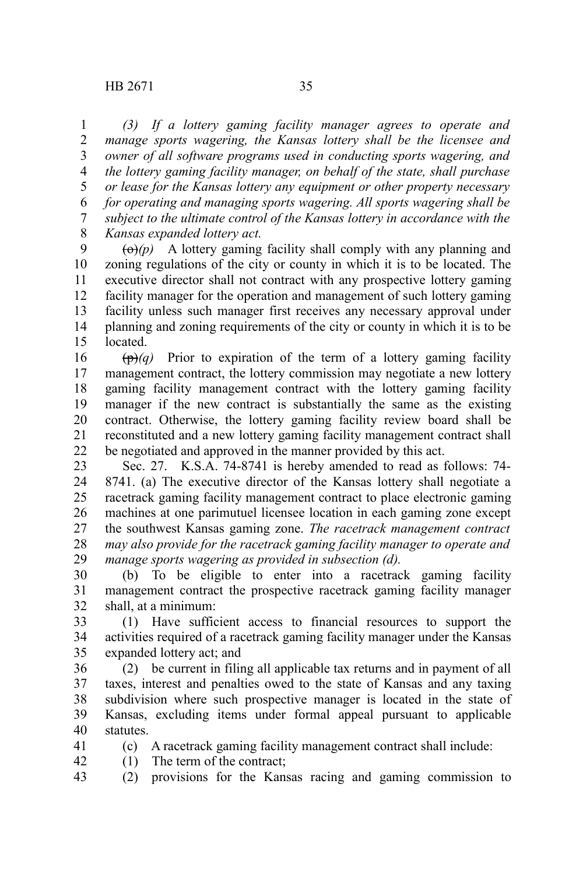*(3) If a lottery gaming facility manager agrees to operate and manage sports wagering, the Kansas lottery shall be the licensee and owner of all software programs used in conducting sports wagering, and the lottery gaming facility manager, on behalf of the state, shall purchase or lease for the Kansas lottery any equipment or other property necessary for operating and managing sports wagering. All sports wagering shall be subject to the ultimate control of the Kansas lottery in accordance with the Kansas expanded lottery act.* 1 2 3 4 5 6 7 8

 $\left(\Theta\right)(p)$  A lottery gaming facility shall comply with any planning and zoning regulations of the city or county in which it is to be located. The executive director shall not contract with any prospective lottery gaming facility manager for the operation and management of such lottery gaming facility unless such manager first receives any necessary approval under planning and zoning requirements of the city or county in which it is to be located. 9 10 11 12 13 14 15

 $(\theta)$  Prior to expiration of the term of a lottery gaming facility management contract, the lottery commission may negotiate a new lottery gaming facility management contract with the lottery gaming facility manager if the new contract is substantially the same as the existing contract. Otherwise, the lottery gaming facility review board shall be reconstituted and a new lottery gaming facility management contract shall be negotiated and approved in the manner provided by this act. 16 17 18 19 20 21 22

Sec. 27. K.S.A. 74-8741 is hereby amended to read as follows: 74- 8741. (a) The executive director of the Kansas lottery shall negotiate a racetrack gaming facility management contract to place electronic gaming machines at one parimutuel licensee location in each gaming zone except the southwest Kansas gaming zone. *The racetrack management contract may also provide for the racetrack gaming facility manager to operate and manage sports wagering as provided in subsection (d).* 23 24 25 26 27 28 29

(b) To be eligible to enter into a racetrack gaming facility management contract the prospective racetrack gaming facility manager shall, at a minimum: 30 31 32

(1) Have sufficient access to financial resources to support the activities required of a racetrack gaming facility manager under the Kansas expanded lottery act; and 33 34 35

(2) be current in filing all applicable tax returns and in payment of all taxes, interest and penalties owed to the state of Kansas and any taxing subdivision where such prospective manager is located in the state of Kansas, excluding items under formal appeal pursuant to applicable statutes. 36 37 38 39 40

41 42 (c) A racetrack gaming facility management contract shall include: (1) The term of the contract;

(2) provisions for the Kansas racing and gaming commission to 43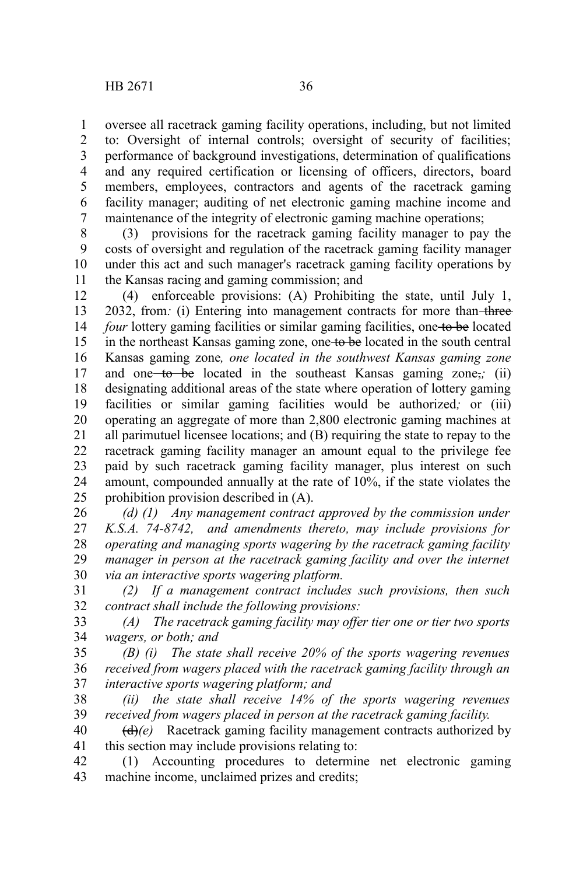oversee all racetrack gaming facility operations, including, but not limited to: Oversight of internal controls; oversight of security of facilities; performance of background investigations, determination of qualifications and any required certification or licensing of officers, directors, board members, employees, contractors and agents of the racetrack gaming facility manager; auditing of net electronic gaming machine income and maintenance of the integrity of electronic gaming machine operations; 1 2 3 4 5 6 7

(3) provisions for the racetrack gaming facility manager to pay the costs of oversight and regulation of the racetrack gaming facility manager under this act and such manager's racetrack gaming facility operations by the Kansas racing and gaming commission; and 8 9 10 11

(4) enforceable provisions: (A) Prohibiting the state, until July 1, 2032, from: (i) Entering into management contracts for more than-three*four* lottery gaming facilities or similar gaming facilities, one to be located in the northeast Kansas gaming zone, one to be located in the south central Kansas gaming zone*, one located in the southwest Kansas gaming zone* and one to be located in the southeast Kansas gaming zone<sub>7</sub>; (ii) designating additional areas of the state where operation of lottery gaming facilities or similar gaming facilities would be authorized*;* or (iii) operating an aggregate of more than 2,800 electronic gaming machines at all parimutuel licensee locations; and (B) requiring the state to repay to the racetrack gaming facility manager an amount equal to the privilege fee paid by such racetrack gaming facility manager, plus interest on such amount, compounded annually at the rate of 10%, if the state violates the prohibition provision described in (A). 12 13 14 15 16 17 18 19 20 21 22 23 24 25

*(d) (1) Any management contract approved by the commission under K.S.A. 74-8742, and amendments thereto, may include provisions for operating and managing sports wagering by the racetrack gaming facility manager in person at the racetrack gaming facility and over the internet via an interactive sports wagering platform.* 26 27 28 29 30

*(2) If a management contract includes such provisions, then such contract shall include the following provisions:* 31 32

*(A) The racetrack gaming facility may offer tier one or tier two sports wagers, or both; and* 33 34

*(B) (i) The state shall receive 20% of the sports wagering revenues received from wagers placed with the racetrack gaming facility through an interactive sports wagering platform; and* 35 36 37

*(ii) the state shall receive 14% of the sports wagering revenues received from wagers placed in person at the racetrack gaming facility.* 38 39

(d)*(e)* Racetrack gaming facility management contracts authorized by this section may include provisions relating to: 40 41

(1) Accounting procedures to determine net electronic gaming machine income, unclaimed prizes and credits; 42 43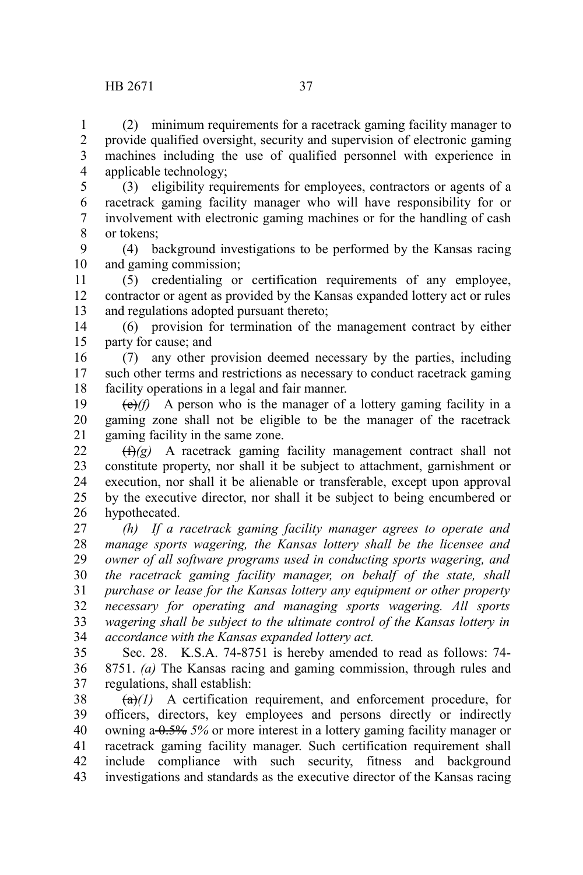1 2 3

(2) minimum requirements for a racetrack gaming facility manager to provide qualified oversight, security and supervision of electronic gaming machines including the use of qualified personnel with experience in applicable technology; 4

(3) eligibility requirements for employees, contractors or agents of a racetrack gaming facility manager who will have responsibility for or involvement with electronic gaming machines or for the handling of cash or tokens; 5 6 7 8

(4) background investigations to be performed by the Kansas racing and gaming commission; 9 10

(5) credentialing or certification requirements of any employee, contractor or agent as provided by the Kansas expanded lottery act or rules and regulations adopted pursuant thereto; 11 12 13

(6) provision for termination of the management contract by either party for cause; and 14 15

(7) any other provision deemed necessary by the parties, including such other terms and restrictions as necessary to conduct racetrack gaming facility operations in a legal and fair manner. 16 17 18

 $\overrightarrow{(e)}$  A person who is the manager of a lottery gaming facility in a gaming zone shall not be eligible to be the manager of the racetrack gaming facility in the same zone. 19 20 21

(f)*(g)* A racetrack gaming facility management contract shall not constitute property, nor shall it be subject to attachment, garnishment or execution, nor shall it be alienable or transferable, except upon approval by the executive director, nor shall it be subject to being encumbered or hypothecated. 22 23 24 25 26

*(h) If a racetrack gaming facility manager agrees to operate and manage sports wagering, the Kansas lottery shall be the licensee and owner of all software programs used in conducting sports wagering, and the racetrack gaming facility manager, on behalf of the state, shall purchase or lease for the Kansas lottery any equipment or other property necessary for operating and managing sports wagering. All sports wagering shall be subject to the ultimate control of the Kansas lottery in accordance with the Kansas expanded lottery act.* 27 28 29 30 31 32 33 34

Sec. 28. K.S.A. 74-8751 is hereby amended to read as follows: 74- 8751. *(a)* The Kansas racing and gaming commission, through rules and regulations, shall establish: 35 36 37

 $\left(\frac{\mathbf{a}}{l}\right)$  A certification requirement, and enforcement procedure, for officers, directors, key employees and persons directly or indirectly owning a 0.5% *5%* or more interest in a lottery gaming facility manager or racetrack gaming facility manager. Such certification requirement shall include compliance with such security, fitness and background investigations and standards as the executive director of the Kansas racing 38 39 40 41 42 43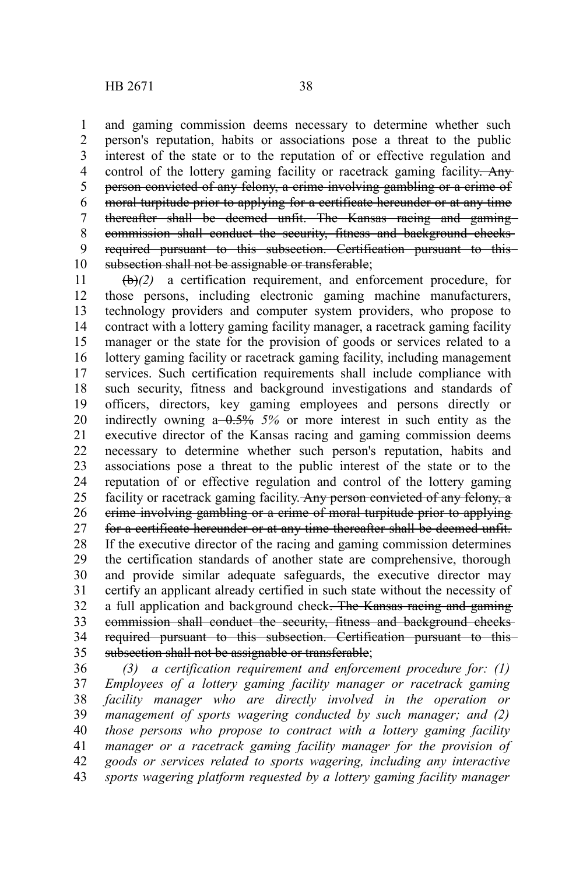and gaming commission deems necessary to determine whether such person's reputation, habits or associations pose a threat to the public interest of the state or to the reputation of or effective regulation and control of the lottery gaming facility or racetrack gaming facility. Any person convicted of any felony, a crime involving gambling or a crime of moral turpitude prior to applying for a certificate hereunder or at any time thereafter shall be deemed unfit. The Kansas racing and gamingcommission shall conduct the security, fitness and background checks required pursuant to this subsection. Certification pursuant to this subsection shall not be assignable or transferable; 1 2 3 4 5 6 7 8 9 10

(b)*(2)* a certification requirement, and enforcement procedure, for those persons, including electronic gaming machine manufacturers, technology providers and computer system providers, who propose to contract with a lottery gaming facility manager, a racetrack gaming facility manager or the state for the provision of goods or services related to a lottery gaming facility or racetrack gaming facility, including management services. Such certification requirements shall include compliance with such security, fitness and background investigations and standards of officers, directors, key gaming employees and persons directly or indirectly owning a 0.5% *5%* or more interest in such entity as the executive director of the Kansas racing and gaming commission deems necessary to determine whether such person's reputation, habits and associations pose a threat to the public interest of the state or to the reputation of or effective regulation and control of the lottery gaming facility or racetrack gaming facility. Any person convicted of any felony, a crime involving gambling or a crime of moral turpitude prior to applying for a certificate hereunder or at any time thereafter shall be deemed unfit. If the executive director of the racing and gaming commission determines the certification standards of another state are comprehensive, thorough and provide similar adequate safeguards, the executive director may certify an applicant already certified in such state without the necessity of a full application and background check. The Kansas racing and gaming commission shall conduct the security, fitness and background checks required pursuant to this subsection. Certification pursuant to this subsection shall not be assignable or transferable; 11 12 13 14 15 16 17 18 19 20 21 22 23 24 25 26 27 28 29 30 31 32 33 34 35

*(3) a certification requirement and enforcement procedure for: (1) Employees of a lottery gaming facility manager or racetrack gaming facility manager who are directly involved in the operation or management of sports wagering conducted by such manager; and (2) those persons who propose to contract with a lottery gaming facility manager or a racetrack gaming facility manager for the provision of goods or services related to sports wagering, including any interactive sports wagering platform requested by a lottery gaming facility manager* 36 37 38 39 40 41 42 43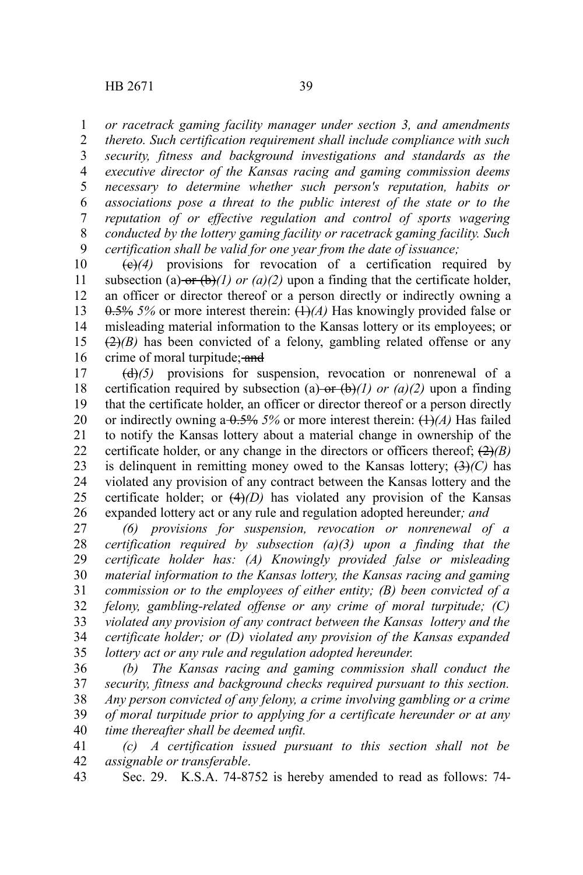*or racetrack gaming facility manager under section 3, and amendments* 1

*thereto. Such certification requirement shall include compliance with such security, fitness and background investigations and standards as the executive director of the Kansas racing and gaming commission deems necessary to determine whether such person's reputation, habits or associations pose a threat to the public interest of the state or to the reputation of or effective regulation and control of sports wagering conducted by the lottery gaming facility or racetrack gaming facility. Such certification shall be valid for one year from the date of issuance;* 2 3 4 5 6 7 8 9

(c)*(4)* provisions for revocation of a certification required by subsection (a) or  $(\phi)(1)$  *or (a)(2)* upon a finding that the certificate holder, an officer or director thereof or a person directly or indirectly owning a 0.5% *5%* or more interest therein: (1)*(A)* Has knowingly provided false or misleading material information to the Kansas lottery or its employees; or  $(2)$ *(B)* has been convicted of a felony, gambling related offense or any crime of moral turpitude; and 10 11 12 13 14 15 16

(d)*(5)* provisions for suspension, revocation or nonrenewal of a certification required by subsection (a) or  $(\theta)$ *(l) or (a)(2)* upon a finding that the certificate holder, an officer or director thereof or a person directly or indirectly owning a  $0.5\%$  5% or more interest therein:  $(1)$ *(A)* Has failed to notify the Kansas lottery about a material change in ownership of the certificate holder, or any change in the directors or officers thereof;  $(2)(B)$ is delinquent in remitting money owed to the Kansas lottery;  $(3)$ *(C)* has violated any provision of any contract between the Kansas lottery and the certificate holder; or  $(4)(D)$  has violated any provision of the Kansas expanded lottery act or any rule and regulation adopted hereunder*; and* 17 18 19 20 21 22 23 24 25 26

*(6) provisions for suspension, revocation or nonrenewal of a certification required by subsection (a)(3) upon a finding that the certificate holder has: (A) Knowingly provided false or misleading material information to the Kansas lottery, the Kansas racing and gaming commission or to the employees of either entity; (B) been convicted of a felony, gambling-related offense or any crime of moral turpitude; (C) violated any provision of any contract between the Kansas lottery and the certificate holder; or (D) violated any provision of the Kansas expanded lottery act or any rule and regulation adopted hereunder.* 27 28 29 30 31 32 33 34 35

*(b) The Kansas racing and gaming commission shall conduct the security, fitness and background checks required pursuant to this section. Any person convicted of any felony, a crime involving gambling or a crime of moral turpitude prior to applying for a certificate hereunder or at any time thereafter shall be deemed unfit.* 36 37 38 39 40

*(c) A certification issued pursuant to this section shall not be assignable or transferable*. 41 42

Sec. 29. K.S.A. 74-8752 is hereby amended to read as follows: 74- 43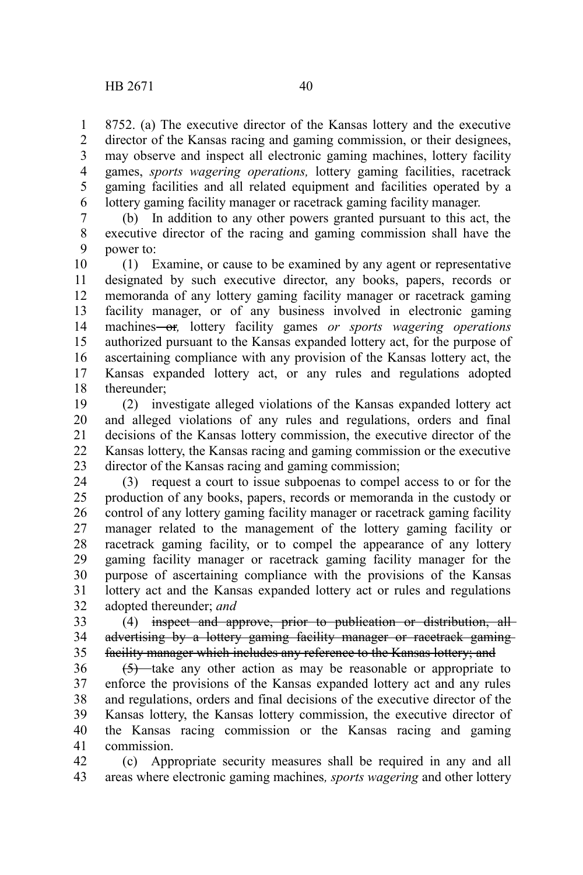8752. (a) The executive director of the Kansas lottery and the executive director of the Kansas racing and gaming commission, or their designees, may observe and inspect all electronic gaming machines, lottery facility games, *sports wagering operations,* lottery gaming facilities, racetrack gaming facilities and all related equipment and facilities operated by a lottery gaming facility manager or racetrack gaming facility manager. 1 2 3 4 5 6

(b) In addition to any other powers granted pursuant to this act, the executive director of the racing and gaming commission shall have the power to: 7 8 9

(1) Examine, or cause to be examined by any agent or representative designated by such executive director, any books, papers, records or memoranda of any lottery gaming facility manager or racetrack gaming facility manager, or of any business involved in electronic gaming machines-or, lottery facility games or sports wagering operations authorized pursuant to the Kansas expanded lottery act, for the purpose of ascertaining compliance with any provision of the Kansas lottery act, the Kansas expanded lottery act, or any rules and regulations adopted thereunder; 10 11 12 13 14 15 16 17 18

(2) investigate alleged violations of the Kansas expanded lottery act and alleged violations of any rules and regulations, orders and final decisions of the Kansas lottery commission, the executive director of the Kansas lottery, the Kansas racing and gaming commission or the executive director of the Kansas racing and gaming commission; 19 20 21 22 23

(3) request a court to issue subpoenas to compel access to or for the production of any books, papers, records or memoranda in the custody or control of any lottery gaming facility manager or racetrack gaming facility manager related to the management of the lottery gaming facility or racetrack gaming facility, or to compel the appearance of any lottery gaming facility manager or racetrack gaming facility manager for the purpose of ascertaining compliance with the provisions of the Kansas lottery act and the Kansas expanded lottery act or rules and regulations adopted thereunder; *and* 24 25 26 27 28 29 30 31 32

(4) inspect and approve, prior to publication or distribution, all advertising by a lottery gaming facility manager or racetrack gamingfacility manager which includes any reference to the Kansas lottery; and 33 34 35

(5) take any other action as may be reasonable or appropriate to enforce the provisions of the Kansas expanded lottery act and any rules and regulations, orders and final decisions of the executive director of the Kansas lottery, the Kansas lottery commission, the executive director of the Kansas racing commission or the Kansas racing and gaming commission. 36 37 38 39 40 41

(c) Appropriate security measures shall be required in any and all areas where electronic gaming machines*, sports wagering* and other lottery 42 43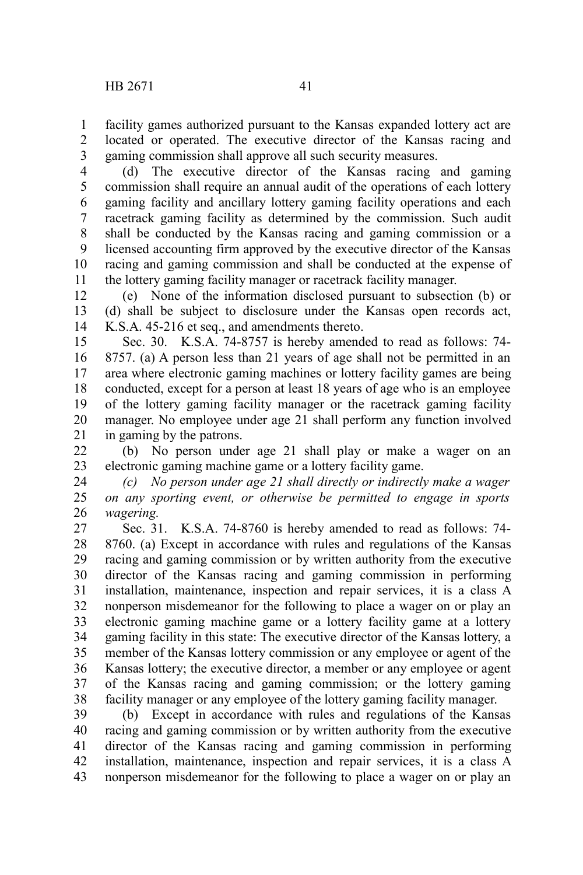facility games authorized pursuant to the Kansas expanded lottery act are located or operated. The executive director of the Kansas racing and gaming commission shall approve all such security measures. 1 2 3

(d) The executive director of the Kansas racing and gaming commission shall require an annual audit of the operations of each lottery gaming facility and ancillary lottery gaming facility operations and each racetrack gaming facility as determined by the commission. Such audit shall be conducted by the Kansas racing and gaming commission or a licensed accounting firm approved by the executive director of the Kansas racing and gaming commission and shall be conducted at the expense of the lottery gaming facility manager or racetrack facility manager. 4 5 6 7 8 9 10 11

(e) None of the information disclosed pursuant to subsection (b) or (d) shall be subject to disclosure under the Kansas open records act, K.S.A. 45-216 et seq., and amendments thereto. 12 13 14

Sec. 30. K.S.A. 74-8757 is hereby amended to read as follows: 74- 8757. (a) A person less than 21 years of age shall not be permitted in an area where electronic gaming machines or lottery facility games are being conducted, except for a person at least 18 years of age who is an employee of the lottery gaming facility manager or the racetrack gaming facility manager. No employee under age 21 shall perform any function involved in gaming by the patrons. 15 16 17 18 19 20 21

(b) No person under age 21 shall play or make a wager on an electronic gaming machine game or a lottery facility game. 22 23

*(c) No person under age 21 shall directly or indirectly make a wager on any sporting event, or otherwise be permitted to engage in sports wagering.* 24 25 26

Sec. 31. K.S.A. 74-8760 is hereby amended to read as follows: 74- 8760. (a) Except in accordance with rules and regulations of the Kansas racing and gaming commission or by written authority from the executive director of the Kansas racing and gaming commission in performing installation, maintenance, inspection and repair services, it is a class A nonperson misdemeanor for the following to place a wager on or play an electronic gaming machine game or a lottery facility game at a lottery gaming facility in this state: The executive director of the Kansas lottery, a member of the Kansas lottery commission or any employee or agent of the Kansas lottery; the executive director, a member or any employee or agent of the Kansas racing and gaming commission; or the lottery gaming facility manager or any employee of the lottery gaming facility manager. 27 28 29 30 31 32 33 34 35 36 37 38

(b) Except in accordance with rules and regulations of the Kansas racing and gaming commission or by written authority from the executive director of the Kansas racing and gaming commission in performing installation, maintenance, inspection and repair services, it is a class A nonperson misdemeanor for the following to place a wager on or play an 39 40 41 42 43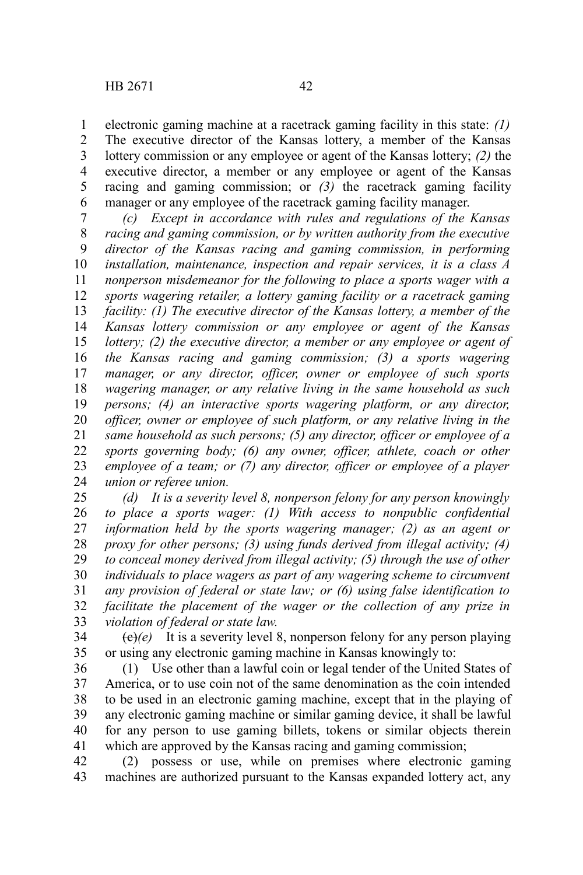electronic gaming machine at a racetrack gaming facility in this state: *(1)* The executive director of the Kansas lottery, a member of the Kansas lottery commission or any employee or agent of the Kansas lottery; *(2)* the executive director, a member or any employee or agent of the Kansas racing and gaming commission; or *(3)* the racetrack gaming facility manager or any employee of the racetrack gaming facility manager. 1 2 3 4 5 6

*(c) Except in accordance with rules and regulations of the Kansas racing and gaming commission, or by written authority from the executive director of the Kansas racing and gaming commission, in performing installation, maintenance, inspection and repair services, it is a class A nonperson misdemeanor for the following to place a sports wager with a sports wagering retailer, a lottery gaming facility or a racetrack gaming facility: (1) The executive director of the Kansas lottery, a member of the Kansas lottery commission or any employee or agent of the Kansas lottery; (2) the executive director, a member or any employee or agent of the Kansas racing and gaming commission; (3) a sports wagering manager, or any director, officer, owner or employee of such sports wagering manager, or any relative living in the same household as such persons; (4) an interactive sports wagering platform, or any director, officer, owner or employee of such platform, or any relative living in the same household as such persons; (5) any director, officer or employee of a sports governing body; (6) any owner, officer, athlete, coach or other employee of a team; or (7) any director, officer or employee of a player union or referee union.* 7 8 9 10 11 12 13 14 15 16 17 18 19 20 21 22 23 24

*(d) It is a severity level 8, nonperson felony for any person knowingly to place a sports wager: (1) With access to nonpublic confidential information held by the sports wagering manager; (2) as an agent or proxy for other persons; (3) using funds derived from illegal activity; (4) to conceal money derived from illegal activity; (5) through the use of other individuals to place wagers as part of any wagering scheme to circumvent any provision of federal or state law; or (6) using false identification to facilitate the placement of the wager or the collection of any prize in violation of federal or state law.* 25 26 27 28 29 30 31 32 33

 $\overline{(e)}(e)$  It is a severity level 8, nonperson felony for any person playing or using any electronic gaming machine in Kansas knowingly to: 34 35

(1) Use other than a lawful coin or legal tender of the United States of America, or to use coin not of the same denomination as the coin intended to be used in an electronic gaming machine, except that in the playing of any electronic gaming machine or similar gaming device, it shall be lawful for any person to use gaming billets, tokens or similar objects therein which are approved by the Kansas racing and gaming commission; 36 37 38 39 40 41

(2) possess or use, while on premises where electronic gaming machines are authorized pursuant to the Kansas expanded lottery act, any 42 43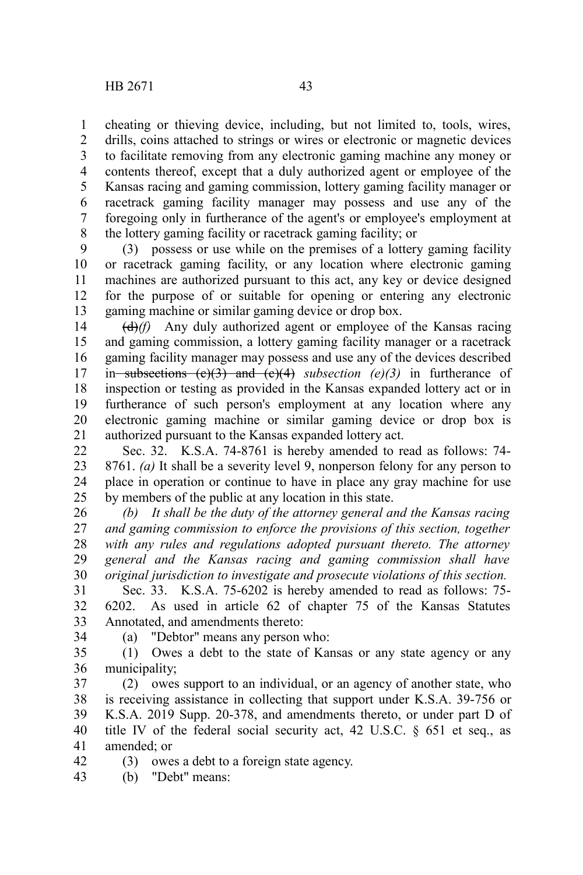cheating or thieving device, including, but not limited to, tools, wires, drills, coins attached to strings or wires or electronic or magnetic devices to facilitate removing from any electronic gaming machine any money or contents thereof, except that a duly authorized agent or employee of the Kansas racing and gaming commission, lottery gaming facility manager or racetrack gaming facility manager may possess and use any of the foregoing only in furtherance of the agent's or employee's employment at the lottery gaming facility or racetrack gaming facility; or 1 2 3 4 5 6 7 8

(3) possess or use while on the premises of a lottery gaming facility or racetrack gaming facility, or any location where electronic gaming machines are authorized pursuant to this act, any key or device designed for the purpose of or suitable for opening or entering any electronic gaming machine or similar gaming device or drop box. 9 10 11 12 13

(d)*(f)* Any duly authorized agent or employee of the Kansas racing and gaming commission, a lottery gaming facility manager or a racetrack gaming facility manager may possess and use any of the devices described in subsections  $(e)(3)$  and  $(e)(4)$  subsection  $(e)(3)$  in furtherance of inspection or testing as provided in the Kansas expanded lottery act or in furtherance of such person's employment at any location where any electronic gaming machine or similar gaming device or drop box is authorized pursuant to the Kansas expanded lottery act. 14 15 16 17 18 19 20 21

Sec. 32. K.S.A. 74-8761 is hereby amended to read as follows: 74- 8761. *(a)* It shall be a severity level 9, nonperson felony for any person to place in operation or continue to have in place any gray machine for use by members of the public at any location in this state. 22 23 24 25

*(b) It shall be the duty of the attorney general and the Kansas racing and gaming commission to enforce the provisions of this section, together with any rules and regulations adopted pursuant thereto. The attorney general and the Kansas racing and gaming commission shall have original jurisdiction to investigate and prosecute violations of this section.* 26 27 28 29 30

Sec. 33. K.S.A. 75-6202 is hereby amended to read as follows: 75- 6202. As used in article 62 of chapter 75 of the Kansas Statutes Annotated, and amendments thereto: 31 32 33

34

(a) "Debtor" means any person who:

(1) Owes a debt to the state of Kansas or any state agency or any municipality; 35 36

(2) owes support to an individual, or an agency of another state, who is receiving assistance in collecting that support under K.S.A. 39-756 or K.S.A. 2019 Supp. 20-378, and amendments thereto, or under part D of title IV of the federal social security act, 42 U.S.C. § 651 et seq., as amended; or 37 38 39 40 41

(3) owes a debt to a foreign state agency. 42

(b) "Debt" means: 43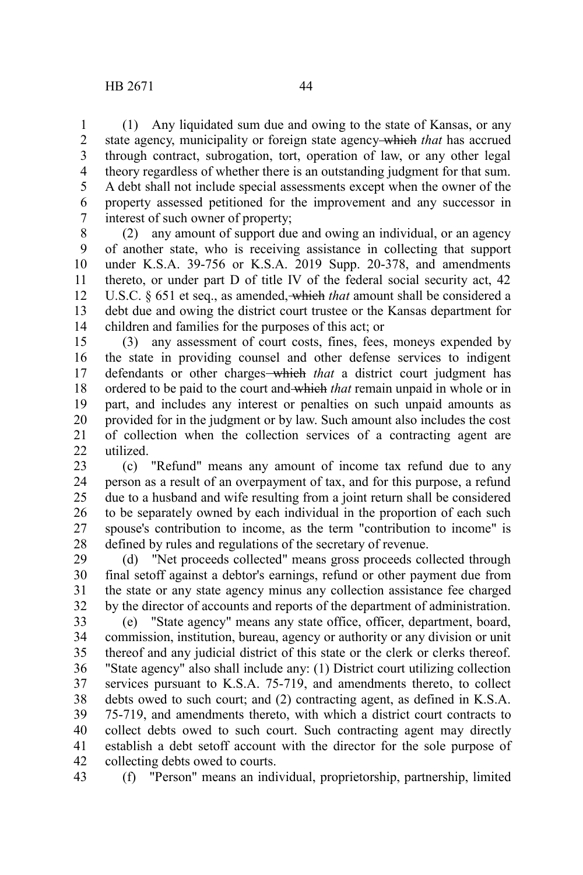(1) Any liquidated sum due and owing to the state of Kansas, or any state agency, municipality or foreign state agency which *that* has accrued through contract, subrogation, tort, operation of law, or any other legal theory regardless of whether there is an outstanding judgment for that sum. A debt shall not include special assessments except when the owner of the property assessed petitioned for the improvement and any successor in interest of such owner of property; 1 2 3 4 5 6 7

(2) any amount of support due and owing an individual, or an agency of another state, who is receiving assistance in collecting that support under K.S.A. 39-756 or K.S.A. 2019 Supp. 20-378, and amendments thereto, or under part D of title IV of the federal social security act, 42 U.S.C. § 651 et seq., as amended, which *that* amount shall be considered a debt due and owing the district court trustee or the Kansas department for children and families for the purposes of this act; or 8 9 10 11 12 13 14

(3) any assessment of court costs, fines, fees, moneys expended by the state in providing counsel and other defense services to indigent defendants or other charges-which *that* a district court judgment has ordered to be paid to the court and which *that* remain unpaid in whole or in part, and includes any interest or penalties on such unpaid amounts as provided for in the judgment or by law. Such amount also includes the cost of collection when the collection services of a contracting agent are utilized. 15 16 17 18 19 20 21  $22$ 

(c) "Refund" means any amount of income tax refund due to any person as a result of an overpayment of tax, and for this purpose, a refund due to a husband and wife resulting from a joint return shall be considered to be separately owned by each individual in the proportion of each such spouse's contribution to income, as the term "contribution to income" is defined by rules and regulations of the secretary of revenue. 23 24 25 26 27 28

(d) "Net proceeds collected" means gross proceeds collected through final setoff against a debtor's earnings, refund or other payment due from the state or any state agency minus any collection assistance fee charged by the director of accounts and reports of the department of administration. 29 30 31 32

(e) "State agency" means any state office, officer, department, board, commission, institution, bureau, agency or authority or any division or unit thereof and any judicial district of this state or the clerk or clerks thereof. "State agency" also shall include any: (1) District court utilizing collection services pursuant to K.S.A. 75-719, and amendments thereto, to collect debts owed to such court; and (2) contracting agent, as defined in K.S.A. 75-719, and amendments thereto, with which a district court contracts to collect debts owed to such court. Such contracting agent may directly establish a debt setoff account with the director for the sole purpose of collecting debts owed to courts. 33 34 35 36 37 38 39 40 41 42

(f) "Person" means an individual, proprietorship, partnership, limited 43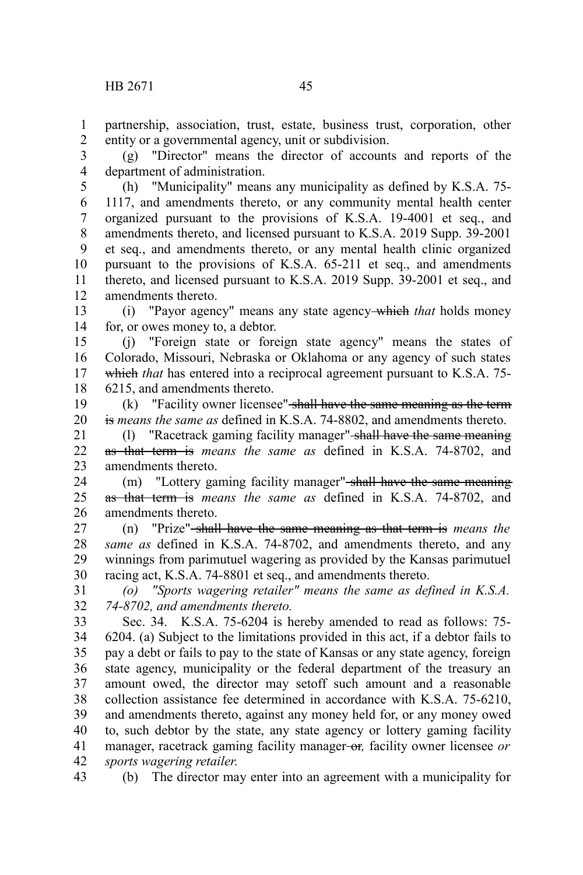partnership, association, trust, estate, business trust, corporation, other entity or a governmental agency, unit or subdivision. 1 2

(g) "Director" means the director of accounts and reports of the department of administration. 3 4

(h) "Municipality" means any municipality as defined by K.S.A. 75- 1117, and amendments thereto, or any community mental health center organized pursuant to the provisions of K.S.A. 19-4001 et seq., and amendments thereto, and licensed pursuant to K.S.A. 2019 Supp. 39-2001 et seq., and amendments thereto, or any mental health clinic organized pursuant to the provisions of K.S.A. 65-211 et seq., and amendments thereto, and licensed pursuant to K.S.A. 2019 Supp. 39-2001 et seq., and amendments thereto. 5 6 7 8 9 10 11 12

(i) "Payor agency" means any state agency which *that* holds money for, or owes money to, a debtor. 13 14

(j) "Foreign state or foreign state agency" means the states of Colorado, Missouri, Nebraska or Oklahoma or any agency of such states which *that* has entered into a reciprocal agreement pursuant to K.S.A. 75-6215, and amendments thereto. 15 16 17 18

 $(k)$  "Facility owner licensee" shall have the same meaning as the term is *means the same as* defined in K.S.A. 74-8802, and amendments thereto. 19 20

(l) "Racetrack gaming facility manager" shall have the same meaning as that term is *means the same as* defined in K.S.A. 74-8702, and amendments thereto. 21 22 23

(m) "Lottery gaming facility manager" shall have the same meaning as that term is *means the same as* defined in K.S.A. 74-8702, and amendments thereto. 24 25 26

(n) "Prize" shall have the same meaning as that term is *means the same as* defined in K.S.A. 74-8702, and amendments thereto, and any winnings from parimutuel wagering as provided by the Kansas parimutuel racing act, K.S.A. 74-8801 et seq., and amendments thereto. 27 28 29 30

*(o) "Sports wagering retailer" means the same as defined in K.S.A. 74-8702, and amendments thereto.* 31 32

Sec. 34. K.S.A. 75-6204 is hereby amended to read as follows: 75- 6204. (a) Subject to the limitations provided in this act, if a debtor fails to pay a debt or fails to pay to the state of Kansas or any state agency, foreign state agency, municipality or the federal department of the treasury an amount owed, the director may setoff such amount and a reasonable collection assistance fee determined in accordance with K.S.A. 75-6210, and amendments thereto, against any money held for, or any money owed to, such debtor by the state, any state agency or lottery gaming facility manager, racetrack gaming facility manager or*,* facility owner licensee *or sports wagering retailer*. 33 34 35 36 37 38 39 40 41 42

(b) The director may enter into an agreement with a municipality for 43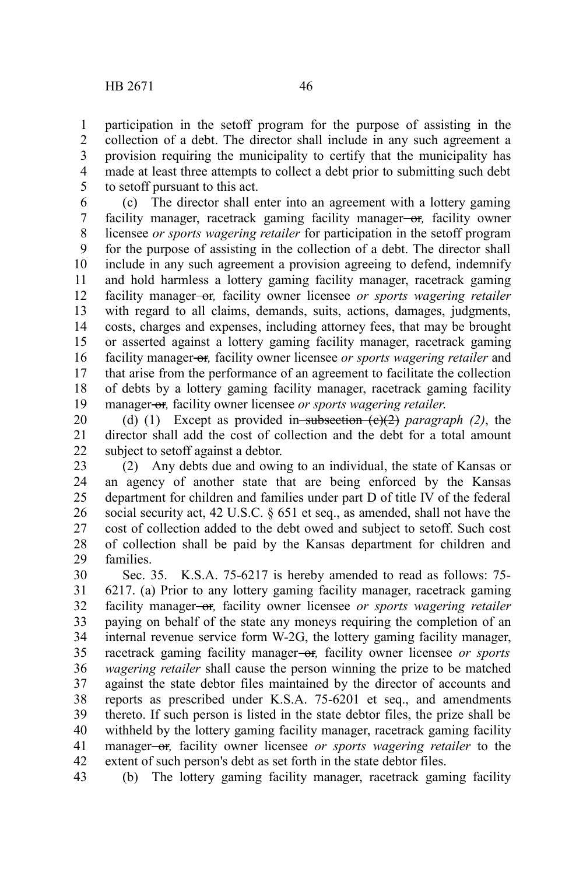participation in the setoff program for the purpose of assisting in the collection of a debt. The director shall include in any such agreement a provision requiring the municipality to certify that the municipality has made at least three attempts to collect a debt prior to submitting such debt to setoff pursuant to this act. 1 2 3 4 5

(c) The director shall enter into an agreement with a lottery gaming facility manager, racetrack gaming facility manager-or, facility owner licensee *or sports wagering retailer* for participation in the setoff program for the purpose of assisting in the collection of a debt. The director shall include in any such agreement a provision agreeing to defend, indemnify and hold harmless a lottery gaming facility manager, racetrack gaming facility manager-or, facility owner licensee or sports wagering retailer with regard to all claims, demands, suits, actions, damages, judgments, costs, charges and expenses, including attorney fees, that may be brought or asserted against a lottery gaming facility manager, racetrack gaming facility manager or*,* facility owner licensee *or sports wagering retailer* and that arise from the performance of an agreement to facilitate the collection of debts by a lottery gaming facility manager, racetrack gaming facility manager-or<sub>r</sub>, facility owner licensee *or sports wagering retailer*. 6 7 8 9 10 11 12 13 14 15 16 17 18 19

(d) (1) Except as provided in subsection (c)(2) *paragraph (2)*, the director shall add the cost of collection and the debt for a total amount subject to setoff against a debtor. 20 21 22

(2) Any debts due and owing to an individual, the state of Kansas or an agency of another state that are being enforced by the Kansas department for children and families under part D of title IV of the federal social security act, 42 U.S.C. § 651 et seq., as amended, shall not have the cost of collection added to the debt owed and subject to setoff. Such cost of collection shall be paid by the Kansas department for children and families. 23 24 25 26 27 28 29

Sec. 35. K.S.A. 75-6217 is hereby amended to read as follows: 75- 6217. (a) Prior to any lottery gaming facility manager, racetrack gaming facility manager-or, facility owner licensee *or sports wagering retailer* paying on behalf of the state any moneys requiring the completion of an internal revenue service form W-2G, the lottery gaming facility manager, racetrack gaming facility manager-or, facility owner licensee *or sports wagering retailer* shall cause the person winning the prize to be matched against the state debtor files maintained by the director of accounts and reports as prescribed under K.S.A. 75-6201 et seq., and amendments thereto. If such person is listed in the state debtor files, the prize shall be withheld by the lottery gaming facility manager, racetrack gaming facility manager<del>-or</del>, facility owner licensee *or sports wagering retailer* to the extent of such person's debt as set forth in the state debtor files. 30 31 32 33 34 35 36 37 38 39 40 41 42

(b) The lottery gaming facility manager, racetrack gaming facility 43